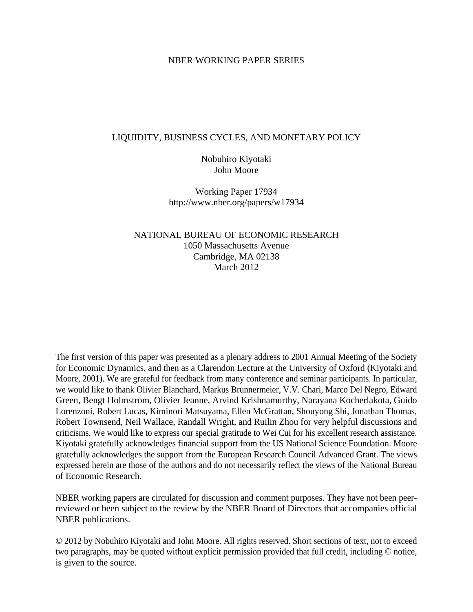## NBER WORKING PAPER SERIES

# LIQUIDITY, BUSINESS CYCLES, AND MONETARY POLICY

Nobuhiro Kiyotaki John Moore

Working Paper 17934 http://www.nber.org/papers/w17934

NATIONAL BUREAU OF ECONOMIC RESEARCH 1050 Massachusetts Avenue Cambridge, MA 02138 March 2012

The first version of this paper was presented as a plenary address to 2001 Annual Meeting of the Society for Economic Dynamics, and then as a Clarendon Lecture at the University of Oxford (Kiyotaki and Moore, 2001). We are grateful for feedback from many conference and seminar participants. In particular, we would like to thank Olivier Blanchard, Markus Brunnermeier, V.V. Chari, Marco Del Negro, Edward Green, Bengt Holmstrom, Olivier Jeanne, Arvind Krishnamurthy, Narayana Kocherlakota, Guido Lorenzoni, Robert Lucas, Kiminori Matsuyama, Ellen McGrattan, Shouyong Shi, Jonathan Thomas, Robert Townsend, Neil Wallace, Randall Wright, and Ruilin Zhou for very helpful discussions and criticisms. We would like to express our special gratitude to Wei Cui for his excellent research assistance. Kiyotaki gratefully acknowledges financial support from the US National Science Foundation. Moore gratefully acknowledges the support from the European Research Council Advanced Grant. The views expressed herein are those of the authors and do not necessarily reflect the views of the National Bureau of Economic Research.

NBER working papers are circulated for discussion and comment purposes. They have not been peerreviewed or been subject to the review by the NBER Board of Directors that accompanies official NBER publications.

© 2012 by Nobuhiro Kiyotaki and John Moore. All rights reserved. Short sections of text, not to exceed two paragraphs, may be quoted without explicit permission provided that full credit, including © notice, is given to the source.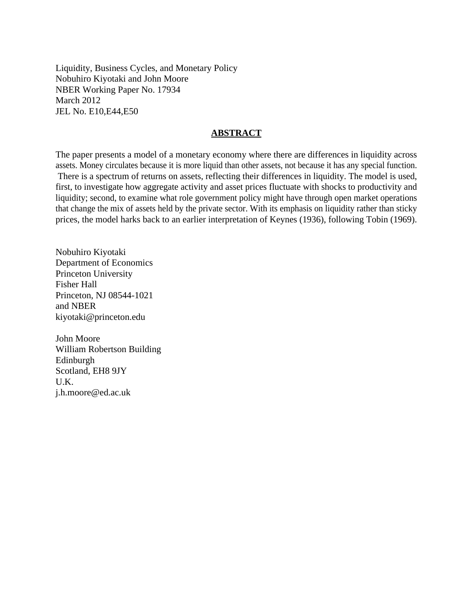Liquidity, Business Cycles, and Monetary Policy Nobuhiro Kiyotaki and John Moore NBER Working Paper No. 17934 March 2012 JEL No. E10,E44,E50

# **ABSTRACT**

The paper presents a model of a monetary economy where there are differences in liquidity across assets. Money circulates because it is more liquid than other assets, not because it has any special function. There is a spectrum of returns on assets, reflecting their differences in liquidity. The model is used, first, to investigate how aggregate activity and asset prices fluctuate with shocks to productivity and liquidity; second, to examine what role government policy might have through open market operations that change the mix of assets held by the private sector. With its emphasis on liquidity rather than sticky prices, the model harks back to an earlier interpretation of Keynes (1936), following Tobin (1969).

Nobuhiro Kiyotaki Department of Economics Princeton University Fisher Hall Princeton, NJ 08544-1021 and NBER kiyotaki@princeton.edu

John Moore William Robertson Building Edinburgh Scotland, EH8 9JY U.K. j.h.moore@ed.ac.uk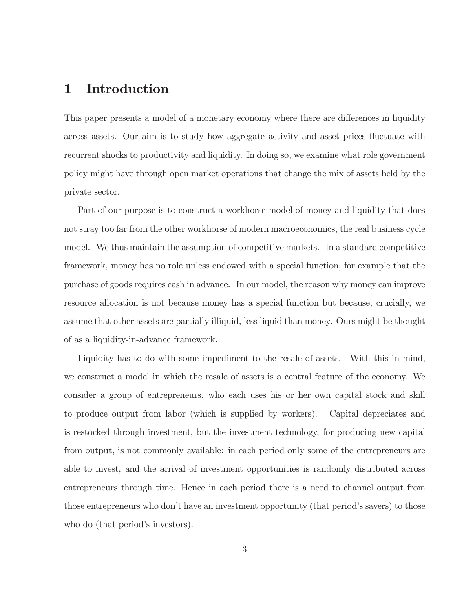### Introduction  $\mathbf 1$

This paper presents a model of a monetary economy where there are differences in liquidity across assets. Our aim is to study how aggregate activity and asset prices fluctuate with recurrent shocks to productivity and liquidity. In doing so, we examine what role government policy might have through open market operations that change the mix of assets held by the private sector.

Part of our purpose is to construct a workhorse model of money and liquidity that does not stray too far from the other workhorse of modern macroeconomics, the real business cycle model. We thus maintain the assumption of competitive markets. In a standard competitive framework, money has no role unless endowed with a special function, for example that the purchase of goods requires cash in advance. In our model, the reason why money can improve resource allocation is not because money has a special function but because, crucially, we assume that other assets are partially illiquid, less liquid than money. Ours might be thought of as a liquidity-in-advance framework.

Iliquidity has to do with some impediment to the resale of assets. With this in mind, we construct a model in which the resale of assets is a central feature of the economy. We consider a group of entrepreneurs, who each uses his or her own capital stock and skill to produce output from labor (which is supplied by workers). Capital depreciates and is restocked through investment, but the investment technology, for producing new capital from output, is not commonly available: in each period only some of the entrepreneurs are able to invest, and the arrival of investment opportunities is randomly distributed across entrepreneurs through time. Hence in each period there is a need to channel output from those entrepreneurs who don't have an investment opportunity (that period's savers) to those who do (that period's investors).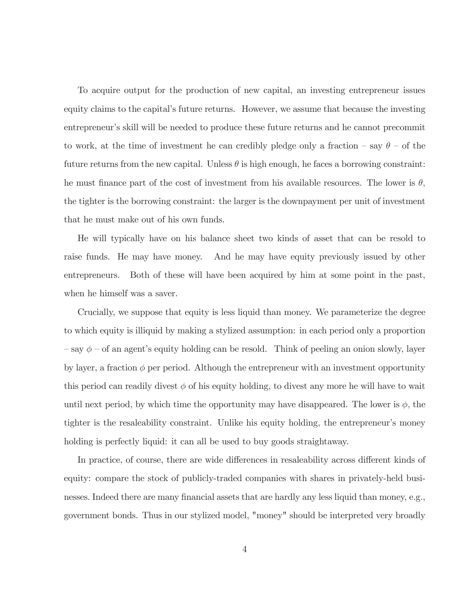To acquire output for the production of new capital, an investing entrepreneur issues equity claims to the capital's future returns. However, we assume that because the investing entrepreneur's skill will be needed to produce these future returns and he cannot precommit to work, at the time of investment he can credibly pledge only a fraction – say  $\theta$  – of the future returns from the new capital. Unless  $\theta$  is high enough, he faces a borrowing constraint: he must finance part of the cost of investment from his available resources. The lower is  $\theta$ , the tighter is the borrowing constraint: the larger is the downpayment per unit of investment that he must make out of his own funds.

He will typically have on his balance sheet two kinds of asset that can be resold to raise funds. He may have money. And he may have equity previously issued by other entrepreneurs. Both of these will have been acquired by him at some point in the past, when he himself was a saver.

Crucially, we suppose that equity is less liquid than money. We parameterize the degree to which equity is illiquid by making a stylized assumption: in each period only a proportion  $-\text{say }\phi-\text{of an agent's equity holding can be resolved. Think of peeling an onion slowly, layer}$ by layer, a fraction  $\phi$  per period. Although the entrepreneur with an investment opportunity this period can readily divest  $\phi$  of his equity holding, to divest any more he will have to wait until next period, by which time the opportunity may have disappeared. The lower is  $\phi$ , the tighter is the resaleability constraint. Unlike his equity holding, the entrepreneur's money holding is perfectly liquid: it can all be used to buy goods straight away.

In practice, of course, there are wide differences in resaleability across different kinds of equity: compare the stock of publicly-traded companies with shares in privately-held businesses. Indeed there are many financial assets that are hardly any less liquid than money, e.g., government bonds. Thus in our stylized model, "money" should be interpreted very broadly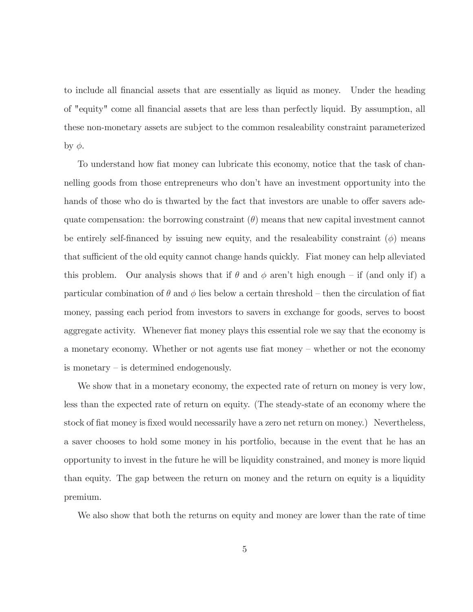to include all financial assets that are essentially as liquid as money. Under the heading of "equity" come all financial assets that are less than perfectly liquid. By assumption, all these non-monetary assets are subject to the common resaleability constraint parameterized by  $\phi$ .

To understand how fiat money can lubricate this economy, notice that the task of channelling goods from those entrepreneurs who don't have an investment opportunity into the hands of those who do is thwarted by the fact that investors are unable to offer savers adequate compensation: the borrowing constraint  $(\theta)$  means that new capital investment cannot be entirely self-financed by issuing new equity, and the resaleability constraint  $(\phi)$  means that sufficient of the old equity cannot change hands quickly. Fiat money can help alleviated this problem. Our analysis shows that if  $\theta$  and  $\phi$  aren't high enough – if (and only if) a particular combination of  $\theta$  and  $\phi$  lies below a certain threshold – then the circulation of fiat money, passing each period from investors to savers in exchange for goods, serves to boost aggregate activity. Whenever fiat money plays this essential role we say that the economy is a monetary economy. Whether or not agents use fiat money – whether or not the economy is monetary  $-$  is determined endogenously.

We show that in a monetary economy, the expected rate of return on money is very low, less than the expected rate of return on equity. (The steady-state of an economy where the stock of fiat money is fixed would necessarily have a zero net return on money.) Nevertheless, a saver chooses to hold some money in his portfolio, because in the event that he has an opportunity to invest in the future he will be liquidity constrained, and money is more liquid than equity. The gap between the return on money and the return on equity is a liquidity premium.

We also show that both the returns on equity and money are lower than the rate of time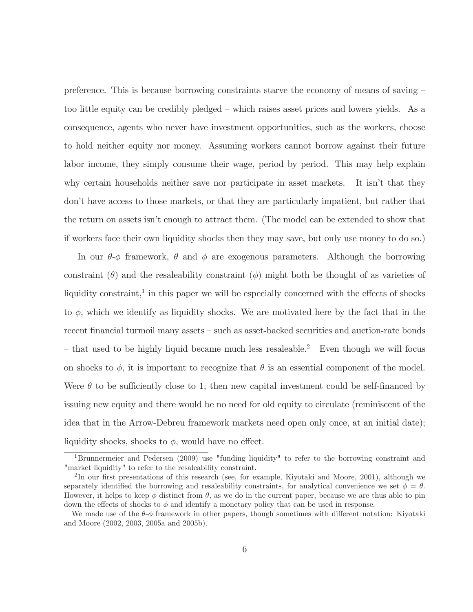preference. This is because borrowing constraints starve the economy of means of saving  $$ too little equity can be credibly pledged – which raises asset prices and lowers yields. As a consequence, agents who never have investment opportunities, such as the workers, choose to hold neither equity nor money. Assuming workers cannot borrow against their future labor income, they simply consume their wage, period by period. This may help explain why certain households neither save nor participate in asset markets. It isn't that they don't have access to those markets, or that they are particularly impatient, but rather that the return on assets isn't enough to attract them. (The model can be extended to show that if workers face their own liquidity shocks then they may save, but only use money to do so.)

In our  $\theta$ - $\phi$  framework,  $\theta$  and  $\phi$  are exogenous parameters. Although the borrowing constraint ( $\theta$ ) and the resaleability constraint ( $\phi$ ) might both be thought of as varieties of liquidity constraint,<sup>1</sup> in this paper we will be especially concerned with the effects of shocks to  $\phi$ , which we identify as liquidity shocks. We are motivated here by the fact that in the recent financial turmoil many assets – such as asset-backed securities and auction-rate bonds - that used to be highly liquid became much less resaleable.<sup>2</sup> Even though we will focus on shocks to  $\phi$ , it is important to recognize that  $\theta$  is an essential component of the model. Were  $\theta$  to be sufficiently close to 1, then new capital investment could be self-financed by issuing new equity and there would be no need for old equity to circulate (reminiscent of the idea that in the Arrow-Debreu framework markets need open only once, at an initial date); liquidity shocks, shocks to  $\phi$ , would have no effect.

<sup>&</sup>lt;sup>1</sup>Brunnermeier and Pedersen (2009) use "funding liquidity" to refer to the borrowing constraint and "market liquidity" to refer to the resaleability constraint.

 ${}^{2}$ In our first presentations of this research (see, for example, Kiyotaki and Moore, 2001), although we separately identified the borrowing and resaleability constraints, for analytical convenience we set  $\phi = \theta$ . However, it helps to keep  $\phi$  distinct from  $\theta$ , as we do in the current paper, because we are thus able to pin down the effects of shocks to  $\phi$  and identify a monetary policy that can be used in response.

We made use of the  $\theta$ - $\phi$  framework in other papers, though sometimes with different notation: Kiyotaki and Moore (2002, 2003, 2005a and 2005b).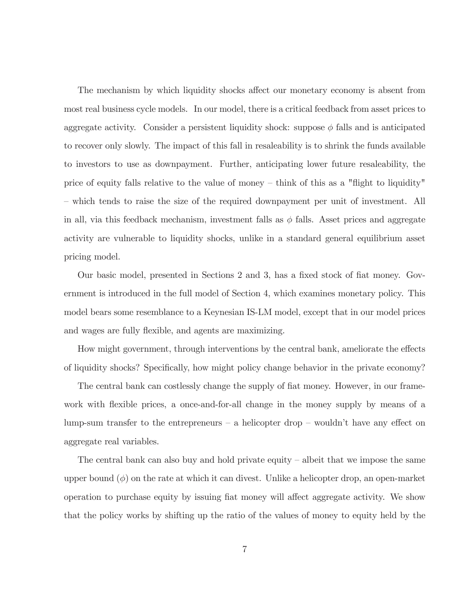The mechanism by which liquidity shocks affect our monetary economy is absent from most real business cycle models. In our model, there is a critical feedback from asset prices to aggregate activity. Consider a persistent liquidity shock: suppose  $\phi$  falls and is anticipated to recover only slowly. The impact of this fall in resaleability is to shrink the funds available to investors to use as downpayment. Further, anticipating lower future resaleability, the price of equity falls relative to the value of money  $-$  think of this as a "flight to liquidity" - which tends to raise the size of the required downpayment per unit of investment. All in all, via this feedback mechanism, investment falls as  $\phi$  falls. Asset prices and aggregate activity are vulnerable to liquidity shocks, unlike in a standard general equilibrium asset pricing model.

Our basic model, presented in Sections 2 and 3, has a fixed stock of fiat money. Government is introduced in the full model of Section 4, which examines monetary policy. This model bears some resemblance to a Keynesian IS-LM model, except that in our model prices and wages are fully flexible, and agents are maximizing.

How might government, through interventions by the central bank, ameliorate the effects of liquidity shocks? Specifically, how might policy change behavior in the private economy?

The central bank can costlessly change the supply of fiat money. However, in our framework with flexible prices, a once-and-for-all change in the money supply by means of a lump-sum transfer to the entrepreneurs  $-$  a helicopter drop  $-$  wouldn't have any effect on aggregate real variables.

The central bank can also buy and hold private equity  $-$  albeit that we impose the same upper bound  $(\phi)$  on the rate at which it can divest. Unlike a helicopter drop, an open-market operation to purchase equity by issuing fiat money will affect aggregate activity. We show that the policy works by shifting up the ratio of the values of money to equity held by the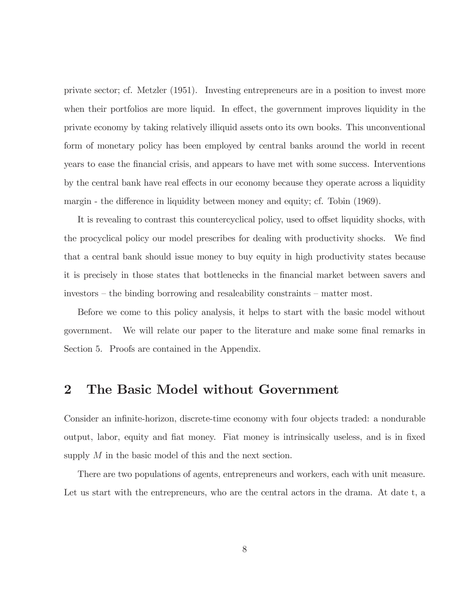private sector; cf. Metzler (1951). Investing entrepreneurs are in a position to invest more when their portfolios are more liquid. In effect, the government improves liquidity in the private economy by taking relatively illiquid assets onto its own books. This unconventional form of monetary policy has been employed by central banks around the world in recent years to ease the financial crisis, and appears to have met with some success. Interventions by the central bank have real effects in our economy because they operate across a liquidity margin - the difference in liquidity between money and equity; cf. Tobin (1969).

It is revealing to contrast this countercyclical policy, used to offset liquidity shocks, with the procyclical policy our model prescribes for dealing with productivity shocks. We find that a central bank should issue money to buy equity in high productivity states because it is precisely in those states that bottlenecks in the financial market between savers and investors – the binding borrowing and resaleability constraints – matter most.

Before we come to this policy analysis, it helps to start with the basic model without We will relate our paper to the literature and make some final remarks in government. Section 5. Proofs are contained in the Appendix.

#### The Basic Model without Government  $\bf{2}$

Consider an infinite-horizon, discrete-time economy with four objects traded: a nondurable output, labor, equity and fiat money. Fiat money is intrinsically useless, and is in fixed supply  $M$  in the basic model of this and the next section.

There are two populations of agents, entrepreneurs and workers, each with unit measure. Let us start with the entrepreneurs, who are the central actors in the drama. At date t, a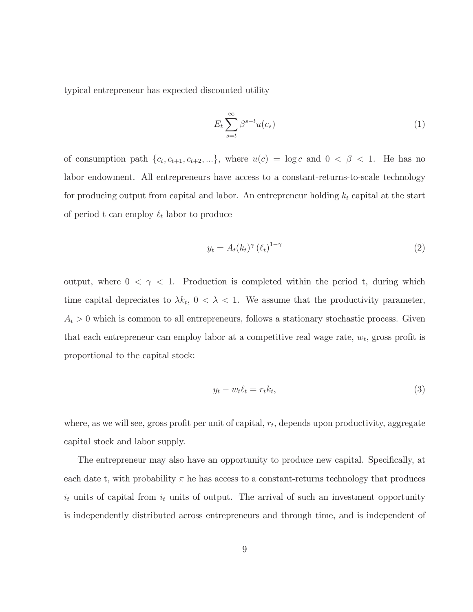typical entrepreneur has expected discounted utility

$$
E_t \sum_{s=t}^{\infty} \beta^{s-t} u(c_s)
$$
 (1)

of consumption path  $\{c_t, c_{t+1}, c_{t+2}, ...\}$ , where  $u(c) = \log c$  and  $0 < \beta < 1$ . He has no labor endowment. All entrepreneurs have access to a constant-returns-to-scale technology for producing output from capital and labor. An entrepreneur holding  $k_t$  capital at the start of period t can employ  $\ell_t$  labor to produce

$$
y_t = A_t (k_t)^\gamma \left(\ell_t\right)^{1-\gamma} \tag{2}
$$

output, where  $0 < \gamma < 1$ . Production is completed within the period t, during which time capital depreciates to  $\lambda k_t$ ,  $0 < \lambda < 1$ . We assume that the productivity parameter,  $A_t > 0$  which is common to all entrepreneurs, follows a stationary stochastic process. Given that each entrepreneur can employ labor at a competitive real wage rate,  $w_t$ , gross profit is proportional to the capital stock:

$$
y_t - w_t \ell_t = r_t k_t,\tag{3}
$$

where, as we will see, gross profit per unit of capital,  $r_t$ , depends upon productivity, aggregate capital stock and labor supply.

The entrepreneur may also have an opportunity to produce new capital. Specifically, at each date t, with probability  $\pi$  he has access to a constant-returns technology that produces  $i_t$  units of capital from  $i_t$  units of output. The arrival of such an investment opportunity is independently distributed across entrepreneurs and through time, and is independent of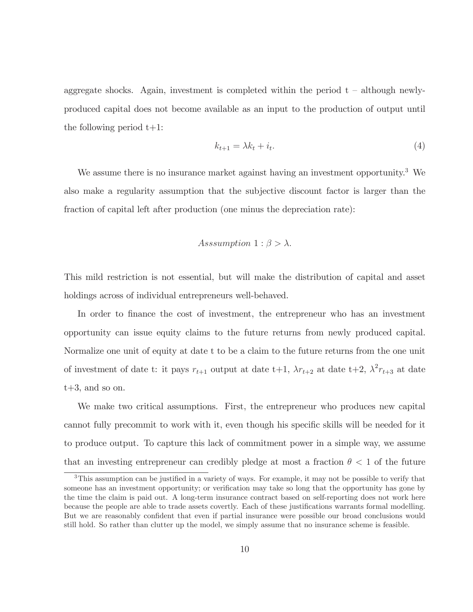aggregate shocks. Again, investment is completed within the period  $t - although newly$ produced capital does not become available as an input to the production of output until the following period  $t+1$ :

$$
k_{t+1} = \lambda k_t + i_t. \tag{4}
$$

We assume there is no insurance market against having an investment opportunity.<sup>3</sup> We also make a regularity assumption that the subjective discount factor is larger than the fraction of capital left after production (one minus the depreciation rate):

## Asssumption  $1: \beta > \lambda$ .

This mild restriction is not essential, but will make the distribution of capital and asset holdings across of individual entrepreneurs well-behaved.

In order to finance the cost of investment, the entrepreneur who has an investment opportunity can issue equity claims to the future returns from newly produced capital. Normalize one unit of equity at date t to be a claim to the future returns from the one unit of investment of date t: it pays  $r_{t+1}$  output at date t+1,  $\lambda r_{t+2}$  at date t+2,  $\lambda^2 r_{t+3}$  at date  $t+3$ , and so on.

We make two critical assumptions. First, the entrepreneur who produces new capital cannot fully precommit to work with it, even though his specific skills will be needed for it to produce output. To capture this lack of commitment power in a simple way, we assume that an investing entrepreneur can credibly pledge at most a fraction  $\theta$  < 1 of the future

<sup>&</sup>lt;sup>3</sup>This assumption can be justified in a variety of ways. For example, it may not be possible to verify that someone has an investment opportunity; or verification may take so long that the opportunity has gone by the time the claim is paid out. A long-term insurance contract based on self-reporting does not work here because the people are able to trade assets covertly. Each of these justifications warrants formal modelling. But we are reasonably confident that even if partial insurance were possible our broad conclusions would still hold. So rather than clutter up the model, we simply assume that no insurance scheme is feasible.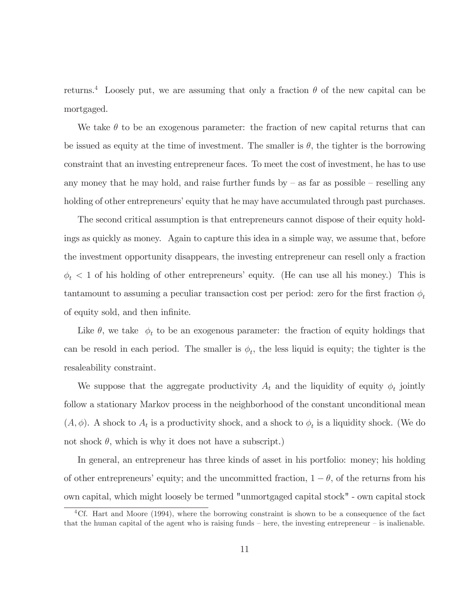returns.<sup>4</sup> Loosely put, we are assuming that only a fraction  $\theta$  of the new capital can be mortgaged.

We take  $\theta$  to be an exogenous parameter: the fraction of new capital returns that can be issued as equity at the time of investment. The smaller is  $\theta$ , the tighter is the borrowing constraint that an investing entrepreneur faces. To meet the cost of investment, he has to use any money that he may hold, and raise further funds by  $-$  as far as possible  $-$  reselling any holding of other entrepreneurs' equity that he may have accumulated through past purchases.

The second critical assumption is that entrepreneurs cannot dispose of their equity holdings as quickly as money. Again to capture this idea in a simple way, we assume that, before the investment opportunity disappears, the investing entrepreneur can resell only a fraction  $\phi_t$  < 1 of his holding of other entrepreneurs' equity. (He can use all his money.) This is tantamount to assuming a peculiar transaction cost per period: zero for the first fraction  $\phi_t$ of equity sold, and then infinite.

Like  $\theta$ , we take  $\phi_t$  to be an exogenous parameter: the fraction of equity holdings that can be resold in each period. The smaller is  $\phi_t$ , the less liquid is equity; the tighter is the resaleability constraint.

We suppose that the aggregate productivity  $A_t$  and the liquidity of equity  $\phi_t$  jointly follow a stationary Markov process in the neighborhood of the constant unconditional mean  $(A, \phi)$ . A shock to  $A_t$  is a productivity shock, and a shock to  $\phi_t$  is a liquidity shock. (We do not shock  $\theta$ , which is why it does not have a subscript.)

In general, an entrepreneur has three kinds of asset in his portfolio: money; his holding of other entrepreneurs' equity; and the uncommitted fraction,  $1 - \theta$ , of the returns from his own capital, which might loosely be termed "unmortgaged capital stock" - own capital stock

<sup>&</sup>lt;sup>4</sup>Cf. Hart and Moore (1994), where the borrowing constraint is shown to be a consequence of the fact that the human capital of the agent who is raising funds  $-$  here, the investing entrepreneur  $-$  is inalienable.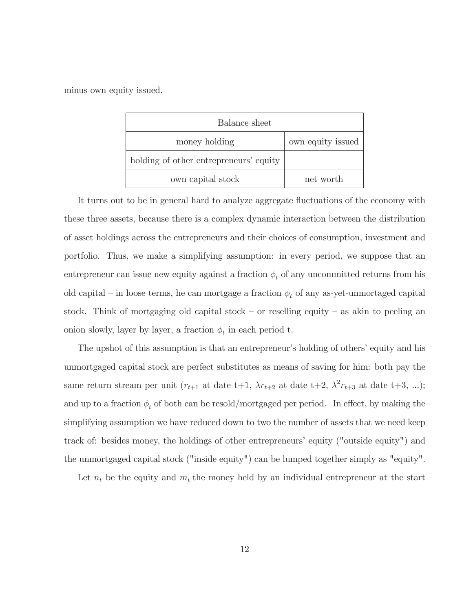minus own equity issued.

| Balance sheet                          |                   |
|----------------------------------------|-------------------|
| money holding                          | own equity issued |
| holding of other entrepreneurs' equity |                   |
| own capital stock                      | net worth         |

It turns out to be in general hard to analyze aggregate fluctuations of the economy with these three assets, because there is a complex dynamic interaction between the distribution of asset holdings across the entrepreneurs and their choices of consumption, investment and portfolio. Thus, we make a simplifying assumption: in every period, we suppose that an entrepreneur can issue new equity against a fraction  $\phi_t$  of any uncommitted returns from his old capital – in loose terms, he can mortgage a fraction  $\phi_t$  of any as-yet-unmortaged capital stock. Think of mortgaging old capital stock – or reselling equity – as akin to peeling an onion slowly, layer by layer, a fraction  $\phi_t$  in each period t.

The upshot of this assumption is that an entrepreneur's holding of others' equity and his unmortgaged capital stock are perfect substitutes as means of saving for him: both pay the same return stream per unit ( $r_{t+1}$  at date t+1,  $\lambda r_{t+2}$  at date t+2,  $\lambda^2 r_{t+3}$  at date t+3, ...); and up to a fraction  $\phi_t$  of both can be resold/mortgaged per period. In effect, by making the simplifying assumption we have reduced down to two the number of assets that we need keep track of: besides money, the holdings of other entrepreneurs' equity ("outside equity") and the unmortgaged capital stock ("inside equity") can be lumped together simply as "equity".

Let  $n_t$  be the equity and  $m_t$  the money held by an individual entrepreneur at the start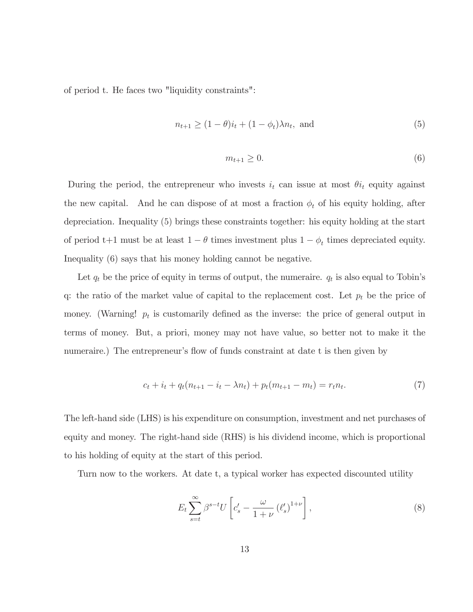of period t. He faces two "liquidity constraints":

$$
n_{t+1} \ge (1 - \theta)i_t + (1 - \phi_t)\lambda n_t, \text{ and } (5)
$$

$$
m_{t+1} \ge 0. \tag{6}
$$

During the period, the entrepreneur who invests  $i_t$  can issue at most  $\theta i_t$  equity against the new capital. And he can dispose of at most a fraction  $\phi_t$  of his equity holding, after depreciation. Inequality (5) brings these constraints together: his equity holding at the start of period t+1 must be at least  $1 - \theta$  times investment plus  $1 - \phi_t$  times depreciated equity. Inequality (6) says that his money holding cannot be negative.

Let  $q_t$  be the price of equity in terms of output, the numeraire.  $q_t$  is also equal to Tobin's q: the ratio of the market value of capital to the replacement cost. Let  $p_t$  be the price of money. (Warning!  $p_t$  is customarily defined as the inverse: the price of general output in terms of money. But, a priori, money may not have value, so better not to make it the numeraire.) The entrepreneur's flow of funds constraint at date t is then given by

$$
c_t + i_t + q_t(n_{t+1} - i_t - \lambda n_t) + p_t(m_{t+1} - m_t) = r_t n_t.
$$
\n<sup>(7)</sup>

The left-hand side (LHS) is his expenditure on consumption, investment and net purchases of equity and money. The right-hand side (RHS) is his dividend income, which is proportional to his holding of equity at the start of this period.

Turn now to the workers. At date t, a typical worker has expected discounted utility

$$
E_t \sum_{s=t}^{\infty} \beta^{s-t} U \left[ c_s' - \frac{\omega}{1+\nu} \left( \ell_s' \right)^{1+\nu} \right],\tag{8}
$$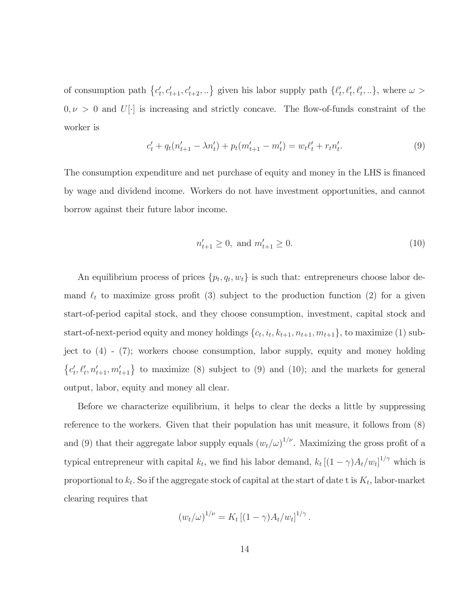of consumption path  $\{c'_t, c'_{t+1}, c'_{t+2}, ...\}$  given his labor supply path  $\{\ell'_t, \ell'_t, \ell'_t, ...\}$ , where  $\omega >$  $0, \nu > 0$  and U[.] is increasing and strictly concave. The flow-of-funds constraint of the worker is

$$
c'_{t} + q_{t}(n'_{t+1} - \lambda n'_{t}) + p_{t}(m'_{t+1} - m'_{t}) = w_{t}\ell'_{t} + r_{t}n'_{t}.
$$
\n(9)

The consumption expenditure and net purchase of equity and money in the LHS is financed by wage and dividend income. Workers do not have investment opportunities, and cannot borrow against their future labor income.

$$
n'_{t+1} \ge 0, \text{ and } m'_{t+1} \ge 0. \tag{10}
$$

An equilibrium process of prices  $\{p_t, q_t, w_t\}$  is such that: entrepreneurs choose labor demand  $\ell_t$  to maximize gross profit (3) subject to the production function (2) for a given start-of-period capital stock, and they choose consumption, investment, capital stock and start-of-next-period equity and money holdings  $\{c_t, i_t, k_{t+1}, n_{t+1}, m_{t+1}\}$ , to maximize (1) subject to  $(4)$  -  $(7)$ ; workers choose consumption, labor supply, equity and money holding  ${c'_t, \ell'_t, n'_{t+1}, m'_{t+1}}$  to maximize (8) subject to (9) and (10); and the markets for general output, labor, equity and money all clear.

Before we characterize equilibrium, it helps to clear the decks a little by suppressing reference to the workers. Given that their population has unit measure, it follows from  $(8)$ and (9) that their aggregate labor supply equals  $(w_t/\omega)^{1/\nu}$ . Maximizing the gross profit of a typical entrepreneur with capital  $k_t$ , we find his labor demand,  $k_t [(1 - \gamma)A_t/w_t]^{1/\gamma}$  which is proportional to  $k_t$ . So if the aggregate stock of capital at the start of date t is  $K_t$ , labor-market clearing requires that

$$
(w_t/\omega)^{1/\nu} = K_t [(1 - \gamma) A_t/w_t]^{1/\gamma}.
$$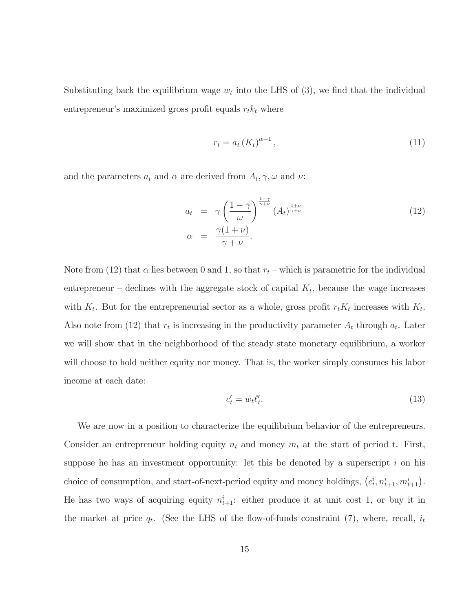Substituting back the equilibrium wage  $w_t$  into the LHS of (3), we find that the individual entrepreneur's maximized gross profit equals  $r_t k_t$  where

$$
r_t = a_t \left(K_t\right)^{\alpha - 1},\tag{11}
$$

and the parameters  $a_t$  and  $\alpha$  are derived from  $A_t, \gamma, \omega$  and  $\nu$ .

$$
a_{t} = \gamma \left(\frac{1-\gamma}{\omega}\right)^{\frac{1-\gamma}{\gamma+\nu}} (A_{t})^{\frac{1+\nu}{\gamma+\nu}}
$$
  
\n
$$
\alpha = \frac{\gamma(1+\nu)}{\gamma+\nu}.
$$
\n(12)

Note from (12) that  $\alpha$  lies between 0 and 1, so that  $r_t$  – which is parametric for the individual entrepreneur – declines with the aggregate stock of capital  $K_t$ , because the wage increases with  $K_t$ . But for the entrepreneurial sector as a whole, gross profit  $r_t K_t$  increases with  $K_t$ . Also note from (12) that  $r_t$  is increasing in the productivity parameter  $A_t$  through  $a_t$ . Later we will show that in the neighborhood of the steady state monetary equilibrium, a worker will choose to hold neither equity nor money. That is, the worker simply consumes his labor income at each date:

$$
c_t' = w_t \ell_t'.\tag{13}
$$

We are now in a position to characterize the equilibrium behavior of the entrepreneurs. Consider an entrepreneur holding equity  $n_t$  and money  $m_t$  at the start of period t. First, suppose he has an investment opportunity: let this be denoted by a superscript  $i$  on his choice of consumption, and start-of-next-period equity and money holdings,  $(c_t^i, n_{t+1}^i, m_{t+1}^i)$ . He has two ways of acquiring equity  $n_{t+1}^i$ : either produce it at unit cost 1, or buy it in the market at price  $q_t$ . (See the LHS of the flow-of-funds constraint (7), where, recall,  $i_t$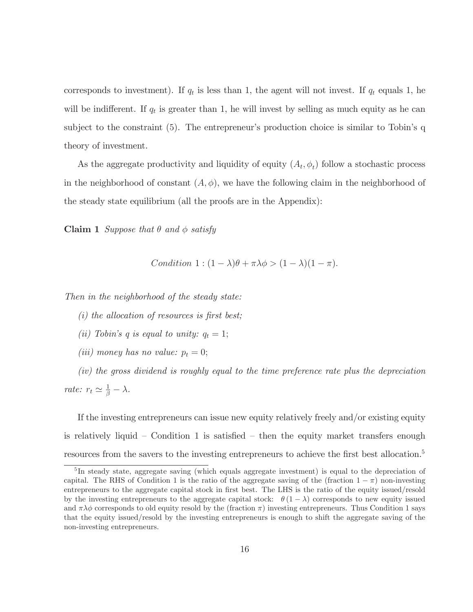corresponds to investment). If  $q_t$  is less than 1, the agent will not invest. If  $q_t$  equals 1, he will be indifferent. If  $q_t$  is greater than 1, he will invest by selling as much equity as he can subject to the constraint  $(5)$ . The entrepreneur's production choice is similar to Tobin's q theory of investment.

As the aggregate productivity and liquidity of equity  $(A_t, \phi_t)$  follow a stochastic process in the neighborhood of constant  $(A, \phi)$ , we have the following claim in the neighborhood of the steady state equilibrium (all the proofs are in the Appendix):

**Claim 1** Suppose that  $\theta$  and  $\phi$  satisfy

Condition 
$$
1:(1-\lambda)\theta + \pi\lambda\phi > (1-\lambda)(1-\pi)
$$
.

Then in the neighborhood of the steady state:

- $(i)$  the allocation of resources is first best:
- (ii) Tobin's q is equal to unity:  $q_t = 1$ ;
- (*iii*) money has no value:  $p_t = 0$ ;

(iv) the gross dividend is roughly equal to the time preference rate plus the depreciation rate:  $r_t \simeq \frac{1}{\beta} - \lambda$ .

If the investing entrepreneurs can issue new equity relatively freely and/or existing equity is relatively liquid – Condition 1 is satisfied – then the equity market transfers enough resources from the savers to the investing entrepreneurs to achieve the first best allocation.<sup>5</sup>

 ${}^{5}$ In steady state, aggregate saving (which equals aggregate investment) is equal to the depreciation of capital. The RHS of Condition 1 is the ratio of the aggregate saving of the (fraction  $1 - \pi$ ) non-investing entrepreneurs to the aggregate capital stock in first best. The LHS is the ratio of the equity issued/resold by the investing entrepreneurs to the aggregate capital stock:  $\theta(1-\lambda)$  corresponds to new equity issued and  $\pi\lambda\phi$  corresponds to old equity resold by the (fraction  $\pi$ ) investing entrepreneurs. Thus Condition 1 says that the equity issued/resold by the investing entrepreneurs is enough to shift the aggregate saving of the non-investing entrepreneurs.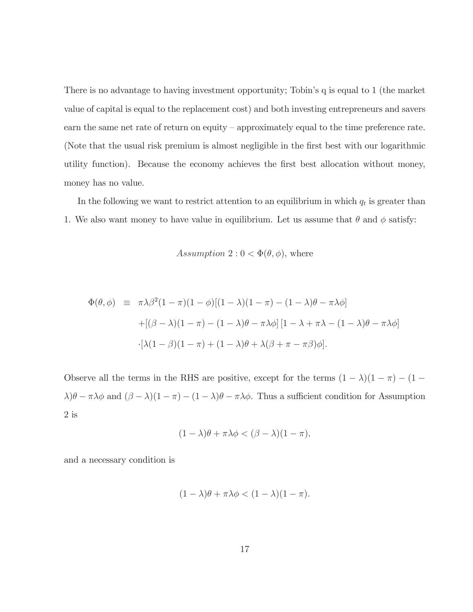There is no advantage to having investment opportunity; Tobin's q is equal to 1 (the market value of capital is equal to the replacement cost) and both investing entrepreneurs and savers earn the same net rate of return on equity – approximately equal to the time preference rate. (Note that the usual risk premium is almost negligible in the first best with our logarithmic utility function). Because the economy achieves the first best allocation without money, money has no value.

In the following we want to restrict attention to an equilibrium in which  $q_t$  is greater than 1. We also want money to have value in equilibrium. Let us assume that  $\theta$  and  $\phi$  satisfy:

Assumption 2:  $0 < \Phi(\theta, \phi)$ , where

$$
\Phi(\theta,\phi) \equiv \pi\lambda\beta^2(1-\pi)(1-\phi)[(1-\lambda)(1-\pi) - (1-\lambda)\theta - \pi\lambda\phi]
$$

$$
+ [(\beta-\lambda)(1-\pi) - (1-\lambda)\theta - \pi\lambda\phi][1-\lambda+\pi\lambda - (1-\lambda)\theta - \pi\lambda\phi]
$$

$$
\cdot [\lambda(1-\beta)(1-\pi) + (1-\lambda)\theta + \lambda(\beta+\pi-\pi\beta)\phi].
$$

Observe all the terms in the RHS are positive, except for the terms  $(1 - \lambda)(1 - \pi) - (1 \lambda$ ) $\theta - \pi \lambda \phi$  and  $(\beta - \lambda)(1 - \pi) - (1 - \lambda)\theta - \pi \lambda \phi$ . Thus a sufficient condition for Assumption  $2$  is

$$
(1 - \lambda)\theta + \pi\lambda\phi < (\beta - \lambda)(1 - \pi),
$$

and a necessary condition is

$$
(1 - \lambda)\theta + \pi\lambda\phi < (1 - \lambda)(1 - \pi).
$$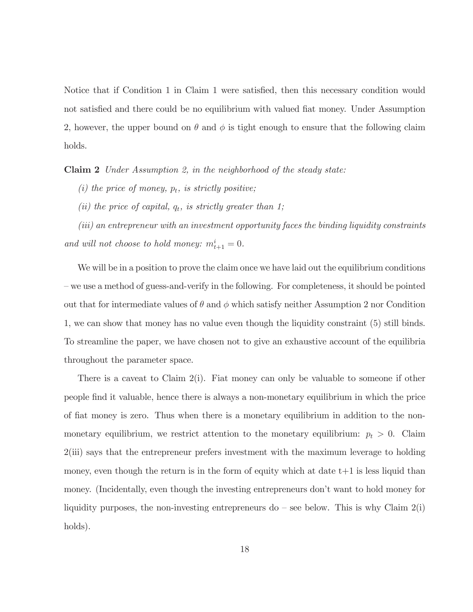Notice that if Condition 1 in Claim 1 were satisfied, then this necessary condition would not satisfied and there could be no equilibrium with valued flat money. Under Assumption 2, however, the upper bound on  $\theta$  and  $\phi$  is tight enough to ensure that the following claim holds.

**Claim 2** Under Assumption 2, in the neighborhood of the steady state:

(i) the price of money,  $p_t$ , is strictly positive;

(ii) the price of capital,  $q_t$ , is strictly greater than 1;

(iii) an entrepreneur with an investment opportunity faces the binding liquidity constraints and will not choose to hold money:  $m_{t+1}^i = 0$ .

We will be in a position to prove the claim once we have laid out the equilibrium conditions - we use a method of guess-and-verify in the following. For completeness, it should be pointed out that for intermediate values of  $\theta$  and  $\phi$  which satisfy neither Assumption 2 nor Condition 1, we can show that money has no value even though the liquidity constraint (5) still binds. To streamline the paper, we have chosen not to give an exhaustive account of the equilibria throughout the parameter space.

There is a caveat to Claim  $2(i)$ . Fiat money can only be valuable to someone if other people find it valuable, hence there is always a non-monetary equilibrium in which the price of fiat money is zero. Thus when there is a monetary equilibrium in addition to the nonmonetary equilibrium, we restrict attention to the monetary equilibrium:  $p_t > 0$ . Claim  $2(iii)$  says that the entrepreneur prefers investment with the maximum leverage to holding money, even though the return is in the form of equity which at date  $t+1$  is less liquid than money. (Incidentally, even though the investing entrepreneurs don't want to hold money for liquidity purposes, the non-investing entrepreneurs do – see below. This is why Claim  $2(i)$ holds).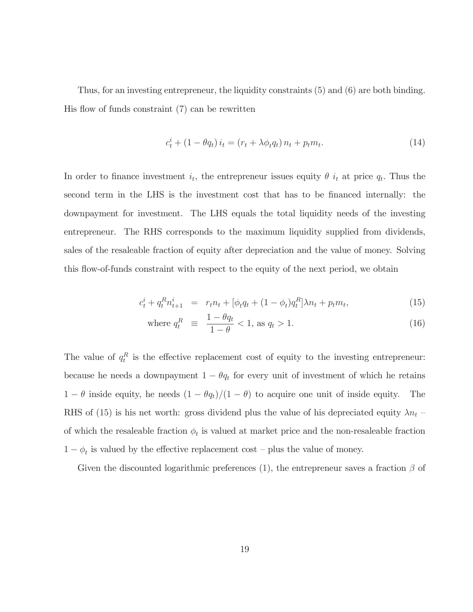Thus, for an investing entrepreneur, the liquidity constraints  $(5)$  and  $(6)$  are both binding. His flow of funds constraint  $(7)$  can be rewritten

$$
c_t^i + (1 - \theta q_t) i_t = (r_t + \lambda \phi_t q_t) n_t + p_t m_t.
$$
\n(14)

In order to finance investment  $i_t$ , the entrepreneur issues equity  $\theta$   $i_t$  at price  $q_t$ . Thus the second term in the LHS is the investment cost that has to be financed internally: the downpayment for investment. The LHS equals the total liquidity needs of the investing entrepreneur. The RHS corresponds to the maximum liquidity supplied from dividends, sales of the resaleable fraction of equity after depreciation and the value of money. Solving this flow-of-funds constraint with respect to the equity of the next period, we obtain

$$
c_t^i + q_t^R n_{t+1}^i = r_t n_t + [\phi_t q_t + (1 - \phi_t) q_t^R] \lambda n_t + p_t m_t, \qquad (15)
$$

where 
$$
q_t^R \equiv \frac{1 - \theta q_t}{1 - \theta} < 1, \text{ as } q_t > 1. \tag{16}
$$

The value of  $q_t^R$  is the effective replacement cost of equity to the investing entrepreneur: because he needs a downpayment  $1 - \theta q_t$  for every unit of investment of which he retains  $1 - \theta$  inside equity, he needs  $(1 - \theta q_t)/(1 - \theta)$  to acquire one unit of inside equity. The RHS of (15) is his net worth: gross dividend plus the value of his depreciated equity  $\lambda n_t$ of which the resaleable fraction  $\phi_t$  is valued at market price and the non-resaleable fraction  $1 - \phi_t$  is valued by the effective replacement cost – plus the value of money.

Given the discounted logarithmic preferences (1), the entrepreneur saves a fraction  $\beta$  of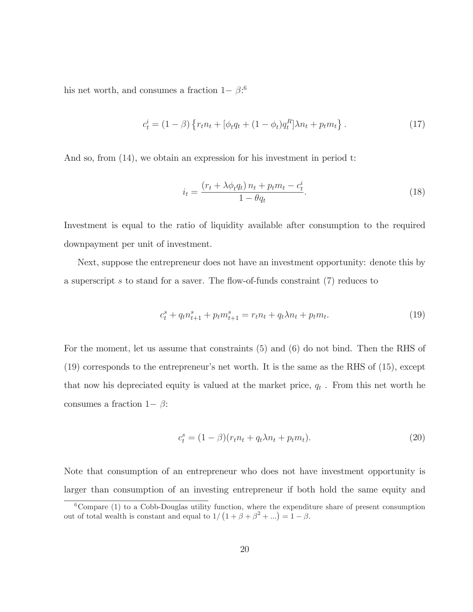his net worth, and consumes a fraction  $1-\beta$ <sup>6</sup>

$$
c_t^i = (1 - \beta) \left\{ r_t n_t + [\phi_t q_t + (1 - \phi_t) q_t^R] \lambda n_t + p_t m_t \right\}.
$$
 (17)

And so, from  $(14)$ , we obtain an expression for his investment in period t:

$$
i_t = \frac{\left(r_t + \lambda \phi_t q_t\right) n_t + p_t m_t - c_t^i}{1 - \theta q_t}.\tag{18}
$$

Investment is equal to the ratio of liquidity available after consumption to the required downpayment per unit of investment.

Next, suppose the entrepreneur does not have an investment opportunity: denote this by a superscript s to stand for a saver. The flow-of-funds constraint  $(7)$  reduces to

$$
c_t^s + q_t n_{t+1}^s + p_t m_{t+1}^s = r_t n_t + q_t \lambda n_t + p_t m_t.
$$
\n(19)

For the moment, let us assume that constraints  $(5)$  and  $(6)$  do not bind. Then the RHS of  $(19)$  corresponds to the entrepreneur's net worth. It is the same as the RHS of  $(15)$ , except that now his depreciated equity is valued at the market price,  $q_t$ . From this net worth he consumes a fraction  $1-\beta$ :

$$
c_t^s = (1 - \beta)(r_t n_t + q_t \lambda n_t + p_t m_t).
$$
\n(20)

Note that consumption of an entrepreneur who does not have investment opportunity is larger than consumption of an investing entrepreneur if both hold the same equity and

 ${}^6$ Compare (1) to a Cobb-Douglas utility function, where the expenditure share of present consumption out of total wealth is constant and equal to  $1/(1+\beta+\beta^2+...) = 1-\beta$ .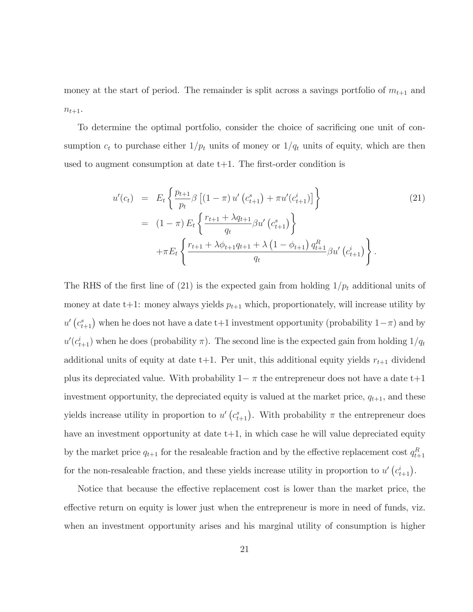money at the start of period. The remainder is split across a savings portfolio of  $m_{t+1}$  and  $n_{t+1}$ .

To determine the optimal portfolio, consider the choice of sacrificing one unit of consumption  $c_t$  to purchase either  $1/p_t$  units of money or  $1/q_t$  units of equity, which are then used to augment consumption at date  $t+1$ . The first-order condition is

$$
u'(c_t) = E_t \left\{ \frac{p_{t+1}}{p_t} \beta \left[ (1 - \pi) u' \left( c_{t+1}^s \right) + \pi u' \left( c_{t+1}^i \right) \right] \right\}
$$
  
\n
$$
= (1 - \pi) E_t \left\{ \frac{r_{t+1} + \lambda q_{t+1}}{q_t} \beta u' \left( c_{t+1}^s \right) \right\}
$$
  
\n
$$
+ \pi E_t \left\{ \frac{r_{t+1} + \lambda \phi_{t+1} q_{t+1} + \lambda \left( 1 - \phi_{t+1} \right) q_{t+1}^R}{q_t} \beta u' \left( c_{t+1}^i \right) \right\}.
$$
\n(21)

The RHS of the first line of (21) is the expected gain from holding  $1/p_t$  additional units of money at date t+1: money always yields  $p_{t+1}$  which, proportionately, will increase utility by  $u'$   $(c_{t+1}^s)$  when he does not have a date t+1 investment opportunity (probability  $1-\pi$ ) and by  $u'(c_{t+1}^i)$  when he does (probability  $\pi$ ). The second line is the expected gain from holding  $1/q_t$ additional units of equity at date t+1. Per unit, this additional equity yields  $r_{t+1}$  dividend plus its depreciated value. With probability  $1-\pi$  the entrepreneur does not have a date t+1 investment opportunity, the depreciated equity is valued at the market price,  $q_{t+1}$ , and these yields increase utility in proportion to  $u' (c_{t+1}^s)$ . With probability  $\pi$  the entrepreneur does have an investment opportunity at date  $t+1$ , in which case he will value depreciated equity by the market price  $q_{t+1}$  for the resaleable fraction and by the effective replacement cost  $q_{t+1}^R$ for the non-resaleable fraction, and these yields increase utility in proportion to  $u' (c_{t+1}^i)$ .

Notice that because the effective replacement cost is lower than the market price, the effective return on equity is lower just when the entrepreneur is more in need of funds, viz. when an investment opportunity arises and his marginal utility of consumption is higher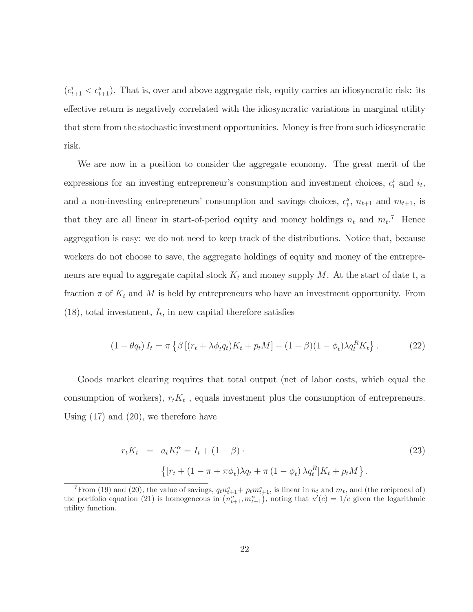$(c_{t+1}^i < c_{t+1}^s)$ . That is, over and above aggregate risk, equity carries an idiosyncratic risk: its effective return is negatively correlated with the idiosyncratic variations in marginal utility that stem from the stochastic investment opportunities. Money is free from such idiosyncratic risk.

We are now in a position to consider the aggregate economy. The great merit of the expressions for an investing entrepreneur's consumption and investment choices,  $c_t^i$  and  $i_t$ , and a non-investing entrepreneurs' consumption and savings choices,  $c_t^s$ ,  $n_{t+1}$  and  $m_{t+1}$ , is that they are all linear in start-of-period equity and money holdings  $n_t$  and  $m_t$ .<sup>7</sup> Hence aggregation is easy: we do not need to keep track of the distributions. Notice that, because workers do not choose to save, the aggregate holdings of equity and money of the entrepreneurs are equal to aggregate capital stock  $K_t$  and money supply M. At the start of date t, a fraction  $\pi$  of  $K_t$  and M is held by entrepreneurs who have an investment opportunity. From  $(18)$ , total investment,  $I_t$ , in new capital therefore satisfies

$$
(1 - \theta q_t) I_t = \pi \left\{ \beta \left[ (r_t + \lambda \phi_t q_t) K_t + p_t M \right] - (1 - \beta)(1 - \phi_t) \lambda q_t^R K_t \right\}.
$$
 (22)

Goods market clearing requires that total output (net of labor costs, which equal the consumption of workers),  $r_t K_t$ , equals investment plus the consumption of entrepreneurs. Using  $(17)$  and  $(20)$ , we therefore have

$$
r_t K_t = a_t K_t^{\alpha} = I_t + (1 - \beta) \tag{23}
$$
\n
$$
\{ [r_t + (1 - \pi + \pi \phi_t) \lambda q_t + \pi (1 - \phi_t) \lambda q_t^R] K_t + p_t M \}.
$$

<sup>&</sup>lt;sup>7</sup>From (19) and (20), the value of savings,  $q_t n_{t+1}^s + p_t m_{t+1}^s$ , is linear in  $n_t$  and  $m_t$ , and (the reciprocal of) the portfolio equation (21) is homogeneous in  $(n_{t+1}^n, m_{t+1}^n)$ , noting that  $u'(c) = 1/c$  given the logarithmic utility function.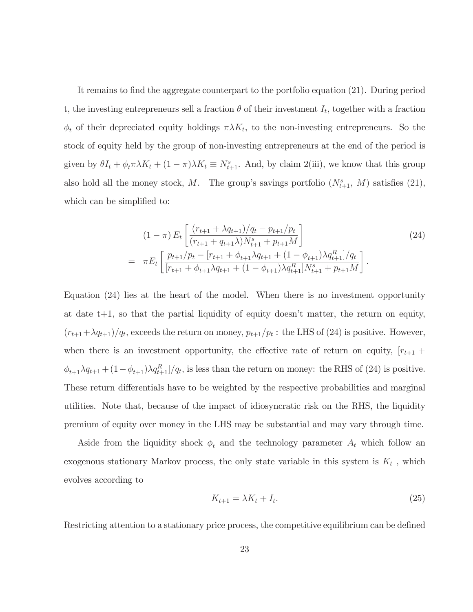It remains to find the aggregate counterpart to the portfolio equation (21). During period t, the investing entrepreneurs sell a fraction  $\theta$  of their investment  $I_t$ , together with a fraction  $\phi_t$  of their depreciated equity holdings  $\pi \lambda K_t$ , to the non-investing entrepreneurs. So the stock of equity held by the group of non-investing entrepreneurs at the end of the period is given by  $\theta I_t + \phi_t \pi \lambda K_t + (1 - \pi) \lambda K_t \equiv N_{t+1}^s$ . And, by claim 2(iii), we know that this group also hold all the money stock, M. The group's savings portfolio  $(N_{t+1}^s, M)$  satisfies (21), which can be simplified to:

$$
(1 - \pi) E_t \left[ \frac{(r_{t+1} + \lambda q_{t+1})/q_t - p_{t+1}/p_t}{(r_{t+1} + q_{t+1}\lambda)N_{t+1}^s + p_{t+1}M} \right]
$$
\n
$$
= \pi E_t \left[ \frac{p_{t+1}/p_t - [r_{t+1} + \phi_{t+1}\lambda q_{t+1} + (1 - \phi_{t+1})\lambda q_{t+1}^R]/q_t}{[r_{t+1} + \phi_{t+1}\lambda q_{t+1} + (1 - \phi_{t+1})\lambda q_{t+1}^R]N_{t+1}^s + p_{t+1}M} \right].
$$
\n(24)

Equation  $(24)$  lies at the heart of the model. When there is no investment opportunity at date  $t+1$ , so that the partial liquidity of equity doesn't matter, the return on equity,  $(r_{t+1} + \lambda q_{t+1})/q_t$ , exceeds the return on money,  $p_{t+1}/p_t$ : the LHS of (24) is positive. However, when there is an investment opportunity, the effective rate of return on equity,  $|r_{t+1}$  +  $\phi_{t+1}\lambda q_{t+1} + (1-\phi_{t+1})\lambda q_{t+1}^R$  is less than the return on money: the RHS of (24) is positive. These return differentials have to be weighted by the respective probabilities and marginal utilities. Note that, because of the impact of idiosyncratic risk on the RHS, the liquidity premium of equity over money in the LHS may be substantial and may vary through time.

Aside from the liquidity shock  $\phi_t$  and the technology parameter  $A_t$  which follow an exogenous stationary Markov process, the only state variable in this system is  $K_t$ , which evolves according to

$$
K_{t+1} = \lambda K_t + I_t. \tag{25}
$$

Restricting attention to a stationary price process, the competitive equilibrium can be defined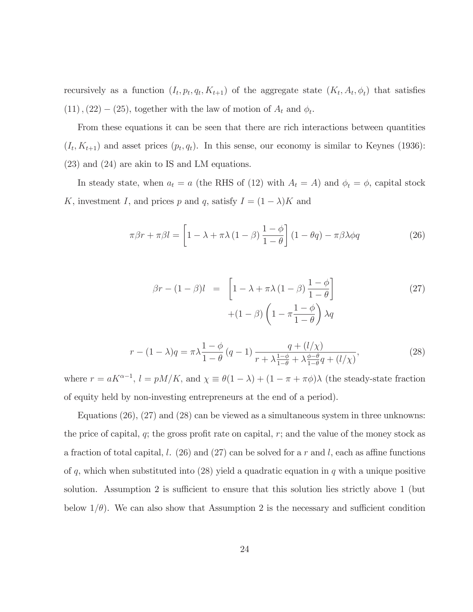recursively as a function  $(I_t, p_t, q_t, K_{t+1})$  of the aggregate state  $(K_t, A_t, \phi_t)$  that satisfies  $(11)$ ,  $(22) - (25)$ , together with the law of motion of  $A_t$  and  $\phi_t$ .

From these equations it can be seen that there are rich interactions between quantities  $(I_t, K_{t+1})$  and asset prices  $(p_t, q_t)$ . In this sense, our economy is similar to Keynes (1936):  $(23)$  and  $(24)$  are akin to IS and LM equations.

In steady state, when  $a_t = a$  (the RHS of (12) with  $A_t = A$ ) and  $\phi_t = \phi$ , capital stock K, investment I, and prices p and q, satisfy  $I = (1 - \lambda)K$  and

$$
\pi\beta r + \pi\beta l = \left[1 - \lambda + \pi\lambda\left(1 - \beta\right)\frac{1 - \phi}{1 - \theta}\right]\left(1 - \theta q\right) - \pi\beta\lambda\phi q\tag{26}
$$

$$
\beta r - (1 - \beta)l = \left[ 1 - \lambda + \pi \lambda (1 - \beta) \frac{1 - \phi}{1 - \theta} \right] + (1 - \beta) \left( 1 - \pi \frac{1 - \phi}{1 - \theta} \right) \lambda q \tag{27}
$$

$$
r - (1 - \lambda)q = \pi \lambda \frac{1 - \phi}{1 - \theta} (q - 1) \frac{q + (l/\chi)}{r + \lambda \frac{1 - \phi}{1 - \theta} + \lambda \frac{\phi - \theta}{1 - \theta} q + (l/\chi)},
$$
(28)

where  $r = aK^{\alpha-1}$ ,  $l = pM/K$ , and  $\chi \equiv \theta(1-\lambda) + (1-\pi + \pi\phi)\lambda$  (the steady-state fraction of equity held by non-investing entrepreneurs at the end of a period).

Equations  $(26)$ ,  $(27)$  and  $(28)$  can be viewed as a simultaneous system in three unknowns: the price of capital, q; the gross profit rate on capital,  $r$ ; and the value of the money stock as a fraction of total capital, l.  $(26)$  and  $(27)$  can be solved for a r and l, each as affine functions of q, which when substituted into (28) yield a quadratic equation in q with a unique positive solution. Assumption 2 is sufficient to ensure that this solution lies strictly above 1 (but below  $1/\theta$ ). We can also show that Assumption 2 is the necessary and sufficient condition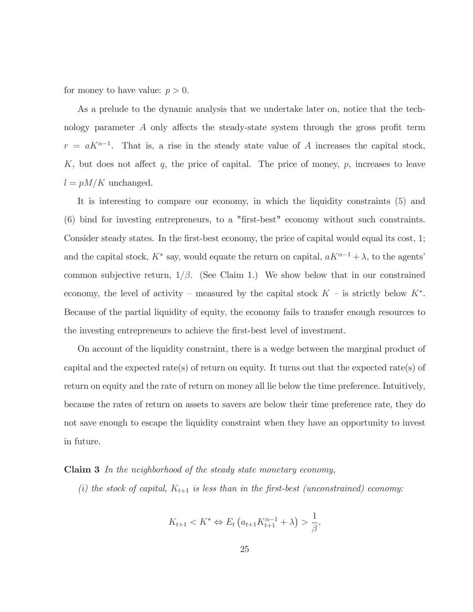for money to have value:  $p > 0$ .

As a prelude to the dynamic analysis that we undertake later on, notice that the technology parameter A only affects the steady-state system through the gross profit term  $r = aK^{\alpha-1}$ . That is, a rise in the steady state value of A increases the capital stock,  $K$ , but does not affect  $q$ , the price of capital. The price of money,  $p$ , increases to leave  $l=pM/K$  unchanged.

It is interesting to compare our economy, in which the liquidity constraints (5) and  $(6)$  bind for investing entrepreneurs, to a "first-best" economy without such constraints. Consider steady states. In the first-best economy, the price of capital would equal its cost, 1; and the capital stock,  $K^*$  say, would equate the return on capital,  $aK^{\alpha-1} + \lambda$ , to the agents' common subjective return,  $1/\beta$ . (See Claim 1.) We show below that in our constrained economy, the level of activity – measured by the capital stock  $K$  – is strictly below  $K^*$ . Because of the partial liquidity of equity, the economy fails to transfer enough resources to the investing entrepreneurs to achieve the first-best level of investment.

On account of the liquidity constraint, there is a wedge between the marginal product of capital and the expected rate(s) of return on equity. It turns out that the expected rate(s) of return on equity and the rate of return on money all lie below the time preference. Intuitively, because the rates of return on assets to savers are below their time preference rate, they do not save enough to escape the liquidity constraint when they have an opportunity to invest in future.

### **Claim 3** In the neighborhood of the steady state monetary economy,

(i) the stock of capital,  $K_{t+1}$  is less than in the first-best (unconstrained) economy:

$$
K_{t+1} < K^* \Leftrightarrow E_t \left( a_{t+1} K_{t+1}^{\alpha-1} + \lambda \right) > \frac{1}{\beta},
$$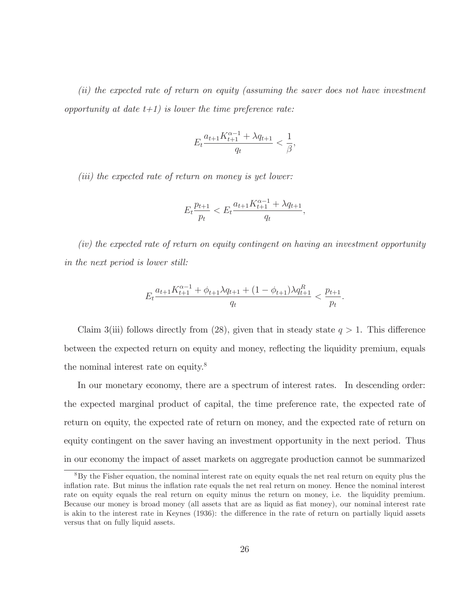(ii) the expected rate of return on equity (assuming the saver does not have investment opportunity at date  $t+1$ ) is lower the time preference rate:

$$
E_t\frac{a_{t+1}K_{t+1}^{\alpha-1}+\lambda q_{t+1}}{q_t}<\frac{1}{\beta}.
$$

 $(iii)$  the expected rate of return on money is yet lower:

$$
E_t \frac{p_{t+1}}{p_t} < E_t \frac{a_{t+1} K_{t+1}^{\alpha - 1} + \lambda q_{t+1}}{q_t}
$$

(iv) the expected rate of return on equity contingent on having an investment opportunity in the next period is lower still:

$$
E_t \frac{a_{t+1}K_{t+1}^{\alpha-1} + \phi_{t+1}\lambda q_{t+1} + (1 - \phi_{t+1})\lambda q_{t+1}^R}{q_t} < \frac{p_{t+1}}{p_t}
$$

Claim 3(iii) follows directly from (28), given that in steady state  $q > 1$ . This difference between the expected return on equity and money, reflecting the liquidity premium, equals the nominal interest rate on equity.<sup>8</sup>

In our monetary economy, there are a spectrum of interest rates. In descending order: the expected marginal product of capital, the time preference rate, the expected rate of return on equity, the expected rate of return on money, and the expected rate of return on equity contingent on the saver having an investment opportunity in the next period. Thus in our economy the impact of asset markets on aggregate production cannot be summarized

 ${}^{8}$ By the Fisher equation, the nominal interest rate on equity equals the net real return on equity plus the inflation rate. But minus the inflation rate equals the net real return on money. Hence the nominal interest rate on equity equals the real return on equity minus the return on money, i.e. the liquidity premium. Because our money is broad money (all assets that are as liquid as fiat money), our nominal interest rate is akin to the interest rate in Keynes (1936): the difference in the rate of return on partially liquid assets versus that on fully liquid assets.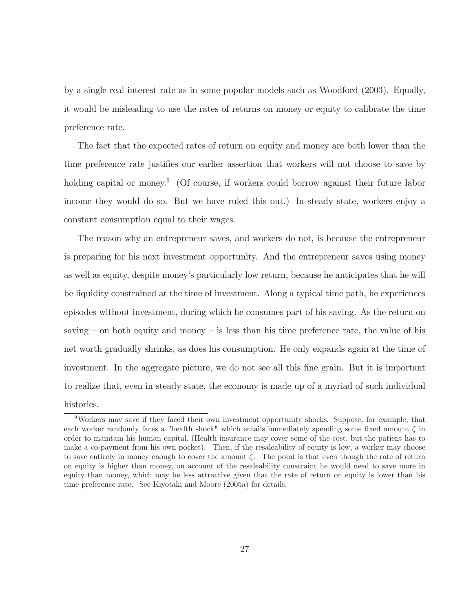by a single real interest rate as in some popular models such as Woodford (2003). Equally, it would be misleading to use the rates of returns on money or equity to calibrate the time preference rate.

The fact that the expected rates of return on equity and money are both lower than the time preference rate justifies our earlier assertion that workers will not choose to save by holding capital or money.<sup>9</sup> (Of course, if workers could borrow against their future labor income they would do so. But we have ruled this out.) In steady state, workers enjoy a constant consumption equal to their wages.

The reason why an entrepreneur saves, and workers do not, is because the entrepreneur is preparing for his next investment opportunity. And the entrepreneur saves using money as well as equity, despite money's particularly low return, because he anticipates that he will be liquidity constrained at the time of investment. Along a typical time path, he experiences episodes without investment, during which he consumes part of his saving. As the return on saving  $-$  on both equity and money  $-$  is less than his time preference rate, the value of his net worth gradually shrinks, as does his consumption. He only expands again at the time of investment. In the aggregate picture, we do not see all this fine grain. But it is important to realize that, even in steady state, the economy is made up of a myriad of such individual histories.

 $9$ Workers may save if they faced their own investment opportunity shocks. Suppose, for example, that each worker randomly faces a "health shock" which entails immediately spending some fixed amount  $\zeta$  in order to maintain his human capital. (Health insurance may cover some of the cost, but the patient has to make a co-payment from his own pocket). Then, if the resaleability of equity is low, a worker may choose to save entirely in money enough to cover the amount  $\zeta$ . The point is that even though the rate of return on equity is higher than money, on account of the resaleability constraint he would need to save more in equity than money, which may be less attractive given that the rate of return on equity is lower than his time preference rate. See Kiyotaki and Moore (2005a) for details.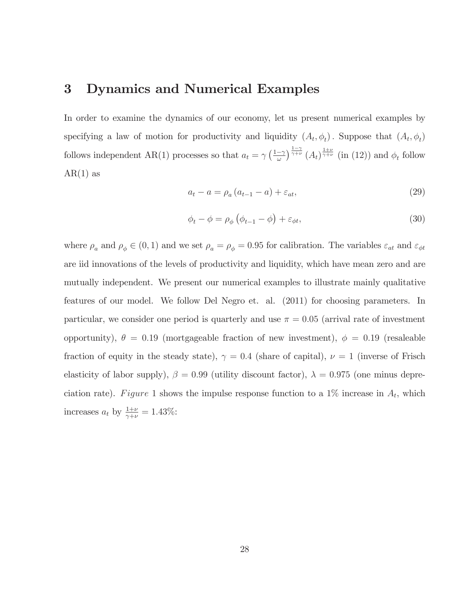#### $\bf{3}$ Dynamics and Numerical Examples

In order to examine the dynamics of our economy, let us present numerical examples by specifying a law of motion for productivity and liquidity  $(A_t, \phi_t)$ . Suppose that  $(A_t, \phi_t)$ follows independent AR(1) processes so that  $a_t = \gamma \left(\frac{1-\gamma}{\omega}\right)^{\frac{1-\gamma}{\gamma+\nu}} (A_t)^{\frac{1+\nu}{\gamma+\nu}}$  (in (12)) and  $\phi_t$  follow  $AR(1)$  as

$$
a_t - a = \rho_a \left( a_{t-1} - a \right) + \varepsilon_{at},\tag{29}
$$

$$
\phi_t - \phi = \rho_\phi \left( \phi_{t-1} - \phi \right) + \varepsilon_{\phi t},\tag{30}
$$

where  $\rho_a$  and  $\rho_{\phi} \in (0,1)$  and we set  $\rho_a = \rho_{\phi} = 0.95$  for calibration. The variables  $\varepsilon_{at}$  and  $\varepsilon_{\phi t}$ are id innovations of the levels of productivity and liquidity, which have mean zero and are mutually independent. We present our numerical examples to illustrate mainly qualitative features of our model. We follow Del Negro et. al. (2011) for choosing parameters. In particular, we consider one period is quarterly and use  $\pi = 0.05$  (arrival rate of investment opportunity),  $\theta = 0.19$  (mortgageable fraction of new investment),  $\phi = 0.19$  (resaleable fraction of equity in the steady state),  $\gamma = 0.4$  (share of capital),  $\nu = 1$  (inverse of Frisch elasticity of labor supply),  $\beta = 0.99$  (utility discount factor),  $\lambda = 0.975$  (one minus depreciation rate). Figure 1 shows the impulse response function to a 1\% increase in  $A_t$ , which increases  $a_t$  by  $\frac{1+\nu}{\gamma+\nu} = 1.43\%$ :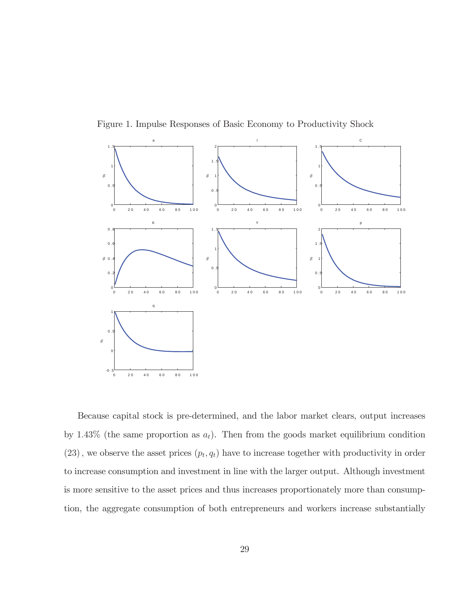

Figure 1. Impulse Responses of Basic Economy to Productivity Shock

Because capital stock is pre-determined, and the labor market clears, output increases by 1.43% (the same proportion as  $a_t$ ). Then from the goods market equilibrium condition  $(23)$ , we observe the asset prices  $(p_t, q_t)$  have to increase together with productivity in order to increase consumption and investment in line with the larger output. Although investment is more sensitive to the asset prices and thus increases proportionately more than consumption, the aggregate consumption of both entrepreneurs and workers increase substantially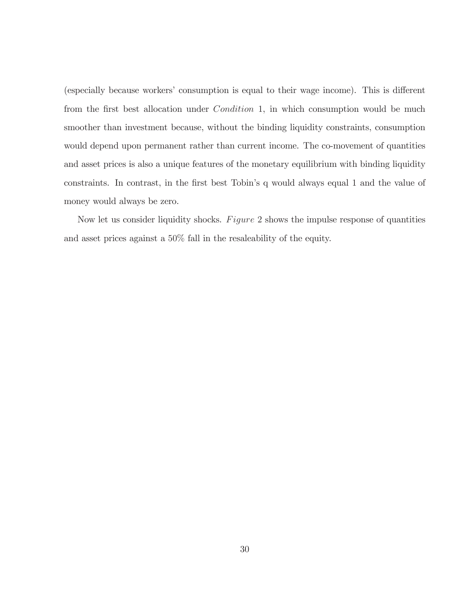(especially because workers' consumption is equal to their wage income). This is different from the first best allocation under *Condition* 1, in which consumption would be much smoother than investment because, without the binding liquidity constraints, consumption would depend upon permanent rather than current income. The co-movement of quantities and asset prices is also a unique features of the monetary equilibrium with binding liquidity constraints. In contrast, in the first best Tobin's q would always equal 1 and the value of money would always be zero.

Now let us consider liquidity shocks. Figure 2 shows the impulse response of quantities and asset prices against a  $50\%$  fall in the resaleability of the equity.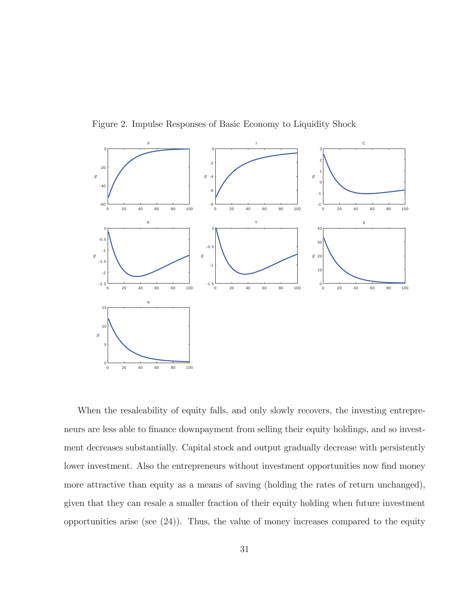

Figure 2. Impulse Responses of Basic Economy to Liquidity Shock

When the resaleability of equity falls, and only slowly recovers, the investing entrepreneurs are less able to finance downpayment from selling their equity holdings, and so investment decreases substantially. Capital stock and output gradually decrease with persistently lower investment. Also the entrepreneurs without investment opportunities now find money more attractive than equity as a means of saving (holding the rates of return unchanged), given that they can resale a smaller fraction of their equity holding when future investment opportunities arise (see  $(24)$ ). Thus, the value of money increases compared to the equity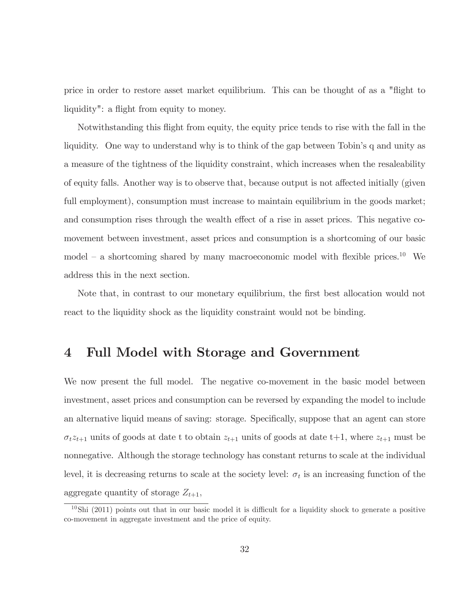price in order to restore asset market equilibrium. This can be thought of as a "flight to" liquidity": a flight from equity to money.

Notwithstanding this flight from equity, the equity price tends to rise with the fall in the liquidity. One way to understand why is to think of the gap between Tobin's q and unity as a measure of the tightness of the liquidity constraint, which increases when the resaleability of equity falls. Another way is to observe that, because output is not affected initially (given full employment), consumption must increase to maintain equilibrium in the goods market; and consumption rises through the wealth effect of a rise in asset prices. This negative comovement between investment, asset prices and consumption is a shortcoming of our basic model – a shortcoming shared by many macroeconomic model with flexible prices.<sup>10</sup> We address this in the next section.

Note that, in contrast to our monetary equilibrium, the first best allocation would not react to the liquidity shock as the liquidity constraint would not be binding.

#### Full Model with Storage and Government  $\overline{\mathbf{4}}$

We now present the full model. The negative co-movement in the basic model between investment, asset prices and consumption can be reversed by expanding the model to include an alternative liquid means of saving: storage. Specifically, suppose that an agent can store  $\sigma_t z_{t+1}$  units of goods at date t to obtain  $z_{t+1}$  units of goods at date t+1, where  $z_{t+1}$  must be nonnegative. Although the storage technology has constant returns to scale at the individual level, it is decreasing returns to scale at the society level:  $\sigma_t$  is an increasing function of the aggregate quantity of storage  $Z_{t+1}$ ,

 $10$ Shi (2011) points out that in our basic model it is difficult for a liquidity shock to generate a positive co-movement in aggregate investment and the price of equity.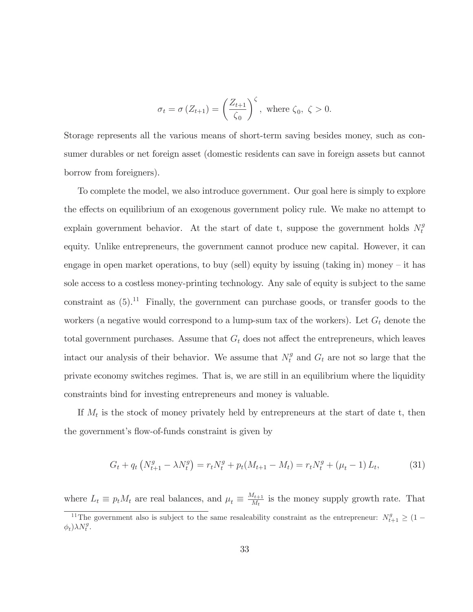$$
\sigma_t = \sigma(Z_{t+1}) = \left(\frac{Z_{t+1}}{\zeta_0}\right)^{\zeta}, \text{ where } \zeta_0, \zeta > 0.
$$

Storage represents all the various means of short-term saving besides money, such as consumer durables or net foreign asset (domestic residents can save in foreign assets but cannot borrow from foreigners).

To complete the model, we also introduce government. Our goal here is simply to explore the effects on equilibrium of an exogenous government policy rule. We make no attempt to explain government behavior. At the start of date t, suppose the government holds  $N_t^g$ equity. Unlike entrepreneurs, the government cannot produce new capital. However, it can engage in open market operations, to buy (sell) equity by issuing (taking in) money – it has sole access to a costless money-printing technology. Any sale of equity is subject to the same constraint as  $(5).<sup>11</sup>$  Finally, the government can purchase goods, or transfer goods to the workers (a negative would correspond to a lump-sum tax of the workers). Let  $G_t$  denote the total government purchases. Assume that  $G_t$  does not affect the entrepreneurs, which leaves intact our analysis of their behavior. We assume that  $N_t^g$  and  $G_t$  are not so large that the private economy switches regimes. That is, we are still in an equilibrium where the liquidity constraints bind for investing entrepreneurs and money is valuable.

If  $M_t$  is the stock of money privately held by entrepreneurs at the start of date t, then the government's flow-of-funds constraint is given by

$$
G_t + q_t \left( N_{t+1}^g - \lambda N_t^g \right) = r_t N_t^g + p_t (M_{t+1} - M_t) = r_t N_t^g + (\mu_t - 1) L_t,
$$
 (31)

where  $L_t \equiv p_t M_t$  are real balances, and  $\mu_t \equiv \frac{M_{t+1}}{M_t}$  is the money supply growth rate. That

<sup>&</sup>lt;sup>11</sup>The government also is subject to the same resaleability constraint as the entrepreneur:  $N_{t+1}^g \geq (1 \phi_t$ ) $\lambda N_t^g$ .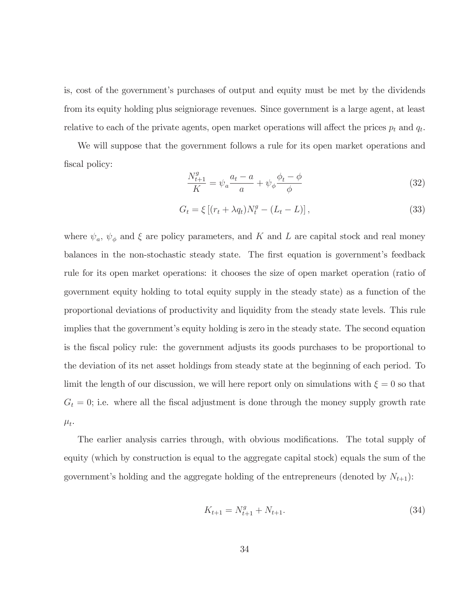is, cost of the government's purchases of output and equity must be met by the dividends from its equity holding plus seigniorage revenues. Since government is a large agent, at least relative to each of the private agents, open market operations will affect the prices  $p_t$  and  $q_t$ .

We will suppose that the government follows a rule for its open market operations and fiscal policy:

$$
\frac{N_{t+1}^g}{K} = \psi_a \frac{a_t - a}{a} + \psi_\phi \frac{\phi_t - \phi}{\phi}
$$
\n(32)

$$
G_t = \xi \left[ (r_t + \lambda q_t) N_t^g - (L_t - L) \right],\tag{33}
$$

where  $\psi_a$ ,  $\psi_{\phi}$  and  $\xi$  are policy parameters, and K and L are capital stock and real money balances in the non-stochastic steady state. The first equation is government's feedback rule for its open market operations: it chooses the size of open market operation (ratio of government equity holding to total equity supply in the steady state) as a function of the proportional deviations of productivity and liquidity from the steady state levels. This rule implies that the government's equity holding is zero in the steady state. The second equation is the fiscal policy rule: the government adjusts its goods purchases to be proportional to the deviation of its net asset holdings from steady state at the beginning of each period. To limit the length of our discussion, we will here report only on simulations with  $\xi = 0$  so that  $G_t = 0$ ; i.e. where all the fiscal adjustment is done through the money supply growth rate  $\mu_t$ .

The earlier analysis carries through, with obvious modifications. The total supply of equity (which by construction is equal to the aggregate capital stock) equals the sum of the government's holding and the aggregate holding of the entrepreneurs (denoted by  $N_{t+1}$ ):

$$
K_{t+1} = N_{t+1}^g + N_{t+1}.\tag{34}
$$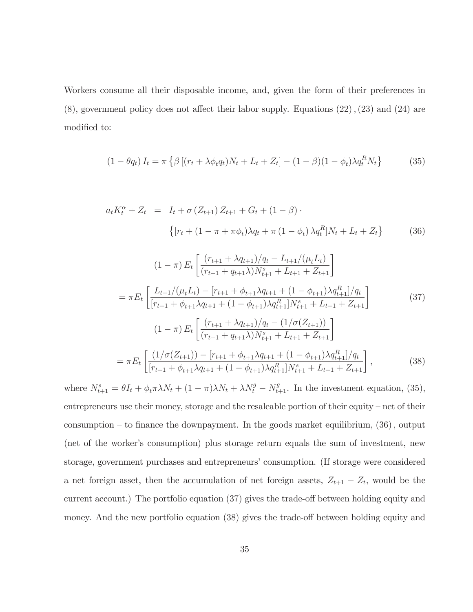Workers consume all their disposable income, and, given the form of their preferences in  $(8)$ , government policy does not affect their labor supply. Equations  $(22)$ ,  $(23)$  and  $(24)$  are modified to:

$$
(1 - \theta q_t) I_t = \pi \left\{ \beta \left[ (r_t + \lambda \phi_t q_t) N_t + L_t + Z_t \right] - (1 - \beta)(1 - \phi_t) \lambda q_t^R N_t \right\} \tag{35}
$$

$$
a_t K_t^{\alpha} + Z_t = I_t + \sigma (Z_{t+1}) Z_{t+1} + G_t + (1 - \beta) \cdot \left\{ [r_t + (1 - \pi + \pi \phi_t) \lambda q_t + \pi (1 - \phi_t) \lambda q_t^R] N_t + L_t + Z_t \right\}
$$
(36)

$$
(1 - \pi) E_t \left[ \frac{(r_{t+1} + \lambda q_{t+1})/q_t - L_{t+1}/(\mu_t L_t)}{(r_{t+1} + q_{t+1}\lambda)N_{t+1}^s + L_{t+1} + Z_{t+1}} \right]
$$
  
\n
$$
= \pi E_t \left[ \frac{L_{t+1}/(\mu_t L_t) - [r_{t+1} + \phi_{t+1}\lambda q_{t+1} + (1 - \phi_{t+1})\lambda q_{t+1}^R]/q_t}{[r_{t+1} + \phi_{t+1}\lambda q_{t+1} + (1 - \phi_{t+1})\lambda q_{t+1}^R]N_{t+1}^s + L_{t+1} + Z_{t+1}} \right]
$$
(37)  
\n
$$
(1 - \pi) E_t \left[ \frac{(r_{t+1} + \lambda q_{t+1})/q_t - (1/\sigma(Z_{t+1}))}{(r_{t+1} + q_{t+1}\lambda)N_{t+1}^s + L_{t+1} + Z_{t+1}} \right]
$$
  
\n
$$
= \pi E_t \left[ \frac{(1/\sigma(Z_{t+1})) - [r_{t+1} + \phi_{t+1}\lambda q_{t+1} + (1 - \phi_{t+1})\lambda q_{t+1}^R]/q_t}{[r_{t+1} + \phi_{t+1}\lambda q_{t+1} + (1 - \phi_{t+1})\lambda q_{t+1}^R]N_{t+1}^s + L_{t+1} + Z_{t+1}} \right],
$$
(38)

where  $N_{t+1}^s = \theta I_t + \phi_t \pi \lambda N_t + (1 - \pi) \lambda N_t + \lambda N_t^g - N_{t+1}^g$ . In the investment equation, (35), entrepreneurs use their money, storage and the resaleable portion of their equity – net of their consumption – to finance the downpayment. In the goods market equilibrium,  $(36)$ , output (net of the worker's consumption) plus storage return equals the sum of investment, new storage, government purchases and entrepreneurs' consumption. (If storage were considered a net foreign asset, then the accumulation of net foreign assets,  $Z_{t+1} - Z_t$ , would be the current account.) The portfolio equation (37) gives the trade-off between holding equity and money. And the new portfolio equation (38) gives the trade-off between holding equity and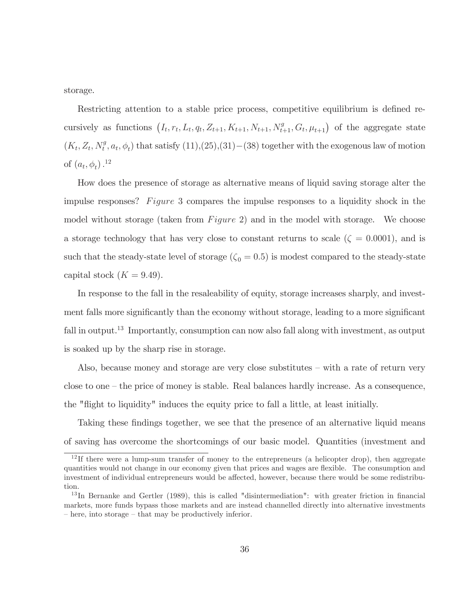storage.

Restricting attention to a stable price process, competitive equilibrium is defined recursively as functions  $(I_t, r_t, L_t, q_t, Z_{t+1}, K_{t+1}, N_{t+1}, N_{t+1}^g, G_t, \mu_{t+1})$  of the aggregate state  $(K_t, Z_t, N_t^g, a_t, \phi_t)$  that satisfy  $(11), (25), (31) - (38)$  together with the exogenous law of motion of  $(a_t, \phi_t)$ .<sup>12</sup>

How does the presence of storage as alternative means of liquid saving storage alter the impulse responses? Figure 3 compares the impulse responses to a liquidity shock in the model without storage (taken from *Figure 2*) and in the model with storage. We choose a storage technology that has very close to constant returns to scale ( $\zeta = 0.0001$ ), and is such that the steady-state level of storage  $(\zeta_0 = 0.5)$  is modest compared to the steady-state capital stock  $(K = 9.49)$ .

In response to the fall in the resaleability of equity, storage increases sharply, and investment falls more significantly than the economy without storage, leading to a more significant fall in output.<sup>13</sup> Importantly, consumption can now also fall along with investment, as output is soaked up by the sharp rise in storage.

Also, because money and storage are very close substitutes  $-$  with a rate of return very close to one  $-$  the price of money is stable. Real balances hardly increase. As a consequence, the "flight to liquidity" induces the equity price to fall a little, at least initially.

Taking these findings together, we see that the presence of an alternative liquid means of saving has overcome the shortcomings of our basic model. Quantities (investment and

<sup>&</sup>lt;sup>12</sup>If there were a lump-sum transfer of money to the entrepreneurs (a helicopter drop), then aggregate quantities would not change in our economy given that prices and wages are flexible. The consumption and investment of individual entrepreneurs would be affected, however, because there would be some redistribution.

 $^{13}$ In Bernanke and Gertler (1989), this is called "disintermediation": with greater friction in financial markets, more funds bypass those markets and are instead channelled directly into alternative investments  $-$  here, into storage  $-$  that may be productively inferior.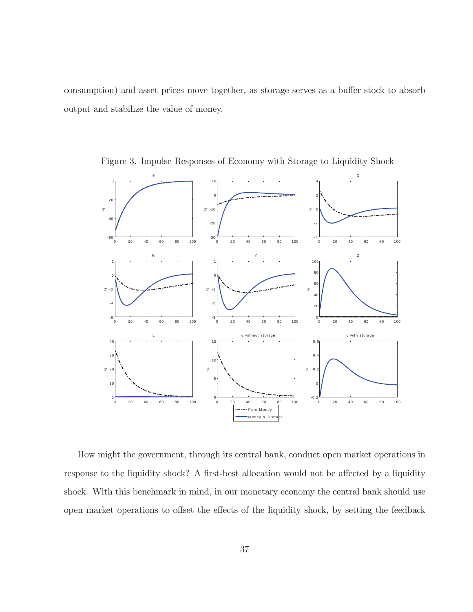consumption) and asset prices move together, as storage serves as a buffer stock to absorb output and stabilize the value of money.



Figure 3. Impulse Responses of Economy with Storage to Liquidity Shock

How might the government, through its central bank, conduct open market operations in response to the liquidity shock? A first-best allocation would not be affected by a liquidity shock. With this benchmark in mind, in our monetary economy the central bank should use open market operations to offset the effects of the liquidity shock, by setting the feedback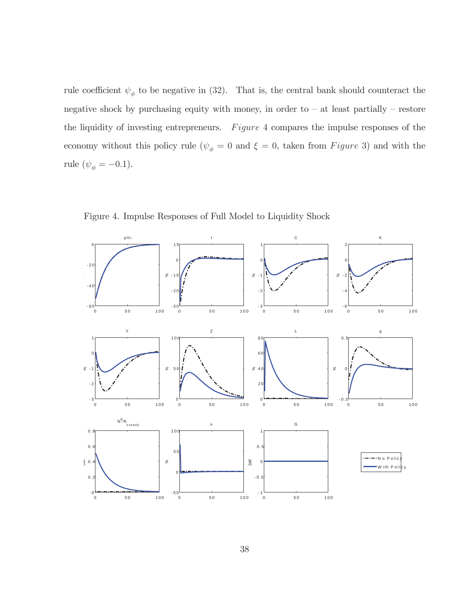rule coefficient  $\psi_{\phi}$  to be negative in (32). That is, the central bank should counteract the negative shock by purchasing equity with money, in order to  $-$  at least partially  $-$  restore the liquidity of investing entrepreneurs.  $Figure 4$  compares the impulse responses of the economy without this policy rule ( $\psi_{\phi} = 0$  and  $\xi = 0$ , taken from Figure 3) and with the rule ( $\psi_{\phi} = -0.1$ ).



Figure 4. Impulse Responses of Full Model to Liquidity Shock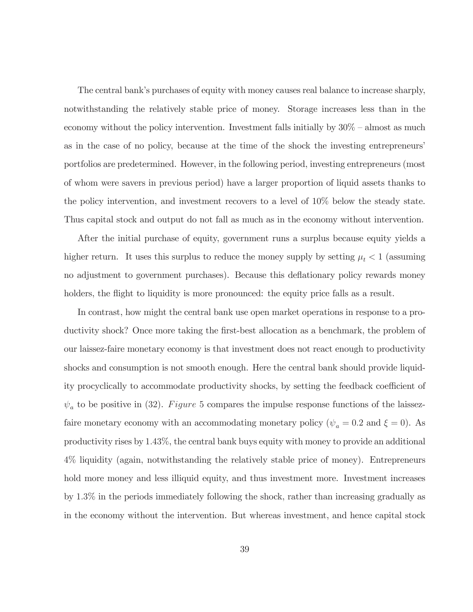The central bank's purchases of equity with money causes real balance to increase sharply, notwithstanding the relatively stable price of money. Storage increases less than in the economy without the policy intervention. Investment falls initially by  $30\%$  – almost as much as in the case of no policy, because at the time of the shock the investing entrepreneurs' portfolios are predetermined. However, in the following period, investing entrepreneurs (most of whom were savers in previous period) have a larger proportion of liquid assets thanks to the policy intervention, and investment recovers to a level of  $10\%$  below the steady state. Thus capital stock and output do not fall as much as in the economy without intervention.

After the initial purchase of equity, government runs a surplus because equity yields a higher return. It uses this surplus to reduce the money supply by setting  $\mu_t < 1$  (assuming no adjustment to government purchases). Because this deflationary policy rewards money holders, the flight to liquidity is more pronounced: the equity price falls as a result.

In contrast, how might the central bank use open market operations in response to a productivity shock? Once more taking the first-best allocation as a benchmark, the problem of our laissez-faire monetary economy is that investment does not react enough to productivity shocks and consumption is not smooth enough. Here the central bank should provide liquidity procyclically to accommodate productivity shocks, by setting the feedback coefficient of  $\psi_a$  to be positive in (32). Figure 5 compares the impulse response functions of the laissezfaire monetary economy with an accommodating monetary policy ( $\psi_a = 0.2$  and  $\xi = 0$ ). As productivity rises by 1.43%, the central bank buys equity with money to provide an additional 4% liquidity (again, notwithstanding the relatively stable price of money). Entrepreneurs hold more money and less illiquid equity, and thus investment more. Investment increases by  $1.3\%$  in the periods immediately following the shock, rather than increasing gradually as in the economy without the intervention. But whereas investment, and hence capital stock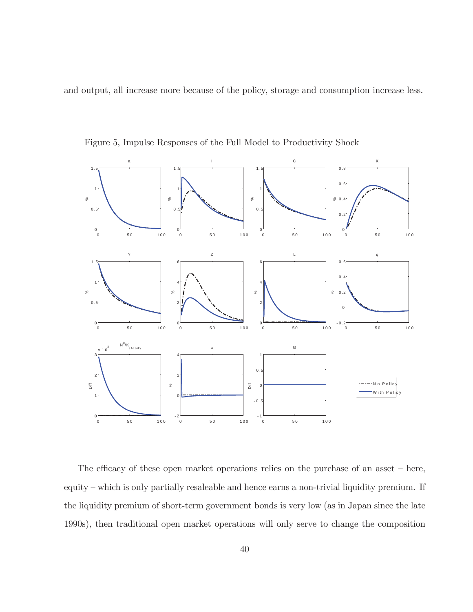and output, all increase more because of the policy, storage and consumption increase less.



Figure 5, Impulse Responses of the Full Model to Productivity Shock

The efficacy of these open market operations relies on the purchase of an asset  $-$  here, equity – which is only partially resaleable and hence earns a non-trivial liquidity premium. If the liquidity premium of short-term government bonds is very low (as in Japan since the late 1990s), then traditional open market operations will only serve to change the composition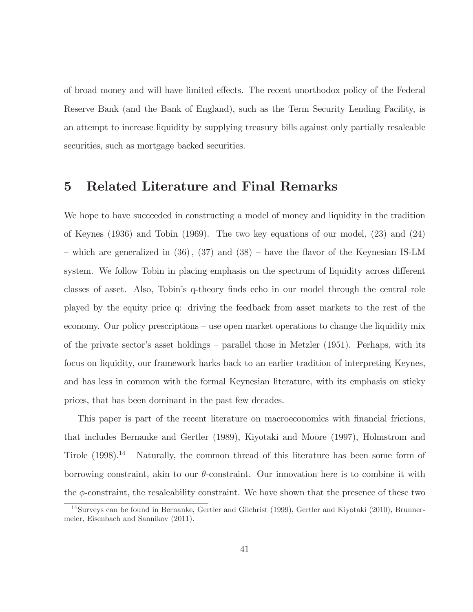of broad money and will have limited effects. The recent unorthodox policy of the Federal Reserve Bank (and the Bank of England), such as the Term Security Lending Facility, is an attempt to increase liquidity by supplying treasury bills against only partially resaleable securities, such as mortgage backed securities.

#### $\bf{5}$ Related Literature and Final Remarks

We hope to have succeeded in constructing a model of money and liquidity in the tradition of Keynes (1936) and Tobin (1969). The two key equations of our model,  $(23)$  and  $(24)$ - which are generalized in  $(36)$ ,  $(37)$  and  $(38)$  - have the flavor of the Keynesian IS-LM system. We follow Tobin in placing emphasis on the spectrum of liquidity across different classes of asset. Also, Tobin's q-theory finds echo in our model through the central role played by the equity price q: driving the feedback from asset markets to the rest of the economy. Our policy prescriptions – use open market operations to change the liquidity mix of the private sector's asset holdings – parallel those in Metzler  $(1951)$ . Perhaps, with its focus on liquidity, our framework harks back to an earlier tradition of interpreting Keynes, and has less in common with the formal Keynesian literature, with its emphasis on sticky prices, that has been dominant in the past few decades.

This paper is part of the recent literature on macroeconomics with financial frictions, that includes Bernanke and Gertler (1989), Kiyotaki and Moore (1997), Holmstrom and Tirole  $(1998).<sup>14</sup>$  Naturally, the common thread of this literature has been some form of borrowing constraint, akin to our  $\theta$ -constraint. Our innovation here is to combine it with the  $\phi$ -constraint, the resaleability constraint. We have shown that the presence of these two

 $14$ Surveys can be found in Bernanke, Gertler and Gilchrist (1999), Gertler and Kiyotaki (2010), Brunnermeier, Eisenbach and Sannikov (2011).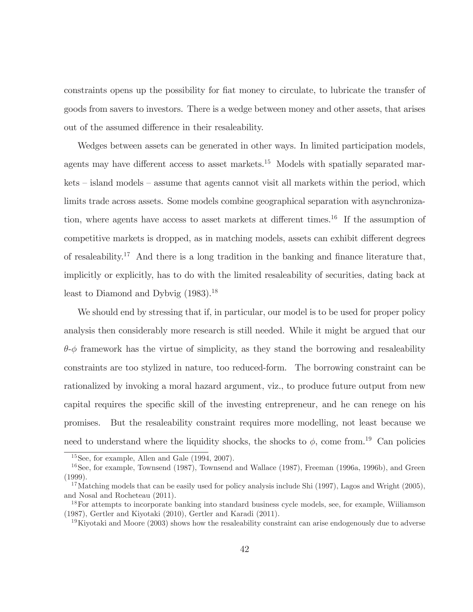constraints opens up the possibility for fiat money to circulate, to lubricate the transfer of goods from savers to investors. There is a wedge between money and other assets, that arises out of the assumed difference in their resaleability.

Wedges between assets can be generated in other ways. In limited participation models, agents may have different access to asset markets.<sup>15</sup> Models with spatially separated mar $kets$  – island models – assume that agents cannot visit all markets within the period, which limits trade across assets. Some models combine geographical separation with asynchronization, where agents have access to asset markets at different times.<sup>16</sup> If the assumption of competitive markets is dropped, as in matching models, assets can exhibit different degrees of resaleability.<sup>17</sup> And there is a long tradition in the banking and finance literature that, implicitly or explicitly, has to do with the limited resaleability of securities, dating back at least to Diamond and Dybvig (1983).<sup>18</sup>

We should end by stressing that if, in particular, our model is to be used for proper policy analysis then considerably more research is still needed. While it might be argued that our  $\theta$ - $\phi$  framework has the virtue of simplicity, as they stand the borrowing and resaleability constraints are too stylized in nature, too reduced-form. The borrowing constraint can be rationalized by invoking a moral hazard argument, viz., to produce future output from new capital requires the specific skill of the investing entrepreneur, and he can renege on his But the resaleability constraint requires more modelling, not least because we promises. need to understand where the liquidity shocks, the shocks to  $\phi$ , come from.<sup>19</sup> Can policies

 $15$ See, for example, Allen and Gale  $(1994, 2007)$ .

 $16$ See, for example, Townsend (1987), Townsend and Wallace (1987), Freeman (1996a, 1996b), and Green  $(1999).$ 

<sup>&</sup>lt;sup>17</sup>Matching models that can be easily used for policy analysis include Shi (1997), Lagos and Wright (2005), and Nosal and Rocheteau (2011).

<sup>&</sup>lt;sup>18</sup>For attempts to incorporate banking into standard business cycle models, see, for example, Wiiliamson (1987), Gertler and Kiyotaki (2010), Gertler and Karadi (2011).

<sup>&</sup>lt;sup>19</sup>Kiyotaki and Moore (2003) shows how the resaleability constraint can arise endogenously due to adverse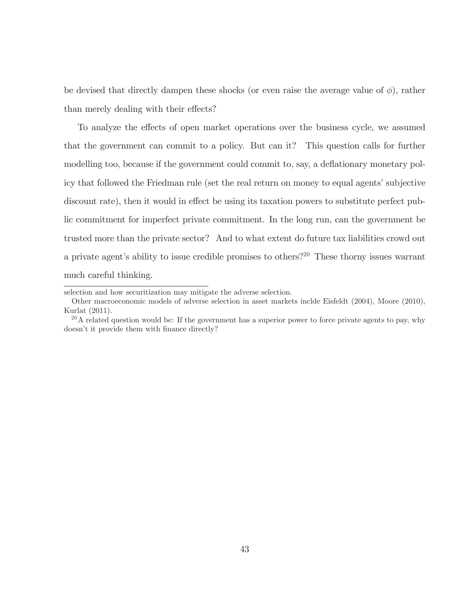be devised that directly dampen these shocks (or even raise the average value of  $\phi$ ), rather than merely dealing with their effects?

To analyze the effects of open market operations over the business cycle, we assumed that the government can commit to a policy. But can it? This question calls for further modelling too, because if the government could commit to, say, a deflationary monetary policy that followed the Friedman rule (set the real return on money to equal agents' subjective discount rate), then it would in effect be using its taxation powers to substitute perfect public commitment for imperfect private commitment. In the long run, can the government be trusted more than the private sector? And to what extent do future tax liabilities crowd out a private agent's ability to issue credible promises to others?<sup>20</sup> These thorny issues warrant much careful thinking.

selection and how securitization may mitigate the adverse selection.

Other macroeconomic models of adverse selection in asset markets inclde Eisfeldt (2004), Moore (2010), Kurlat (2011).

 $^{20}$ A related question would be: If the government has a superior power to force private agents to pay, why doesn't it provide them with finance directly?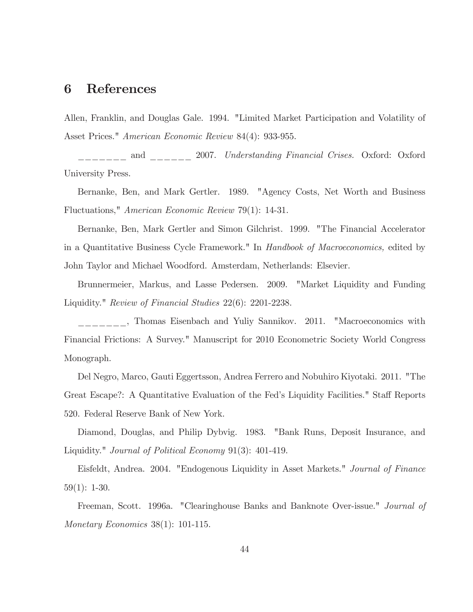#### References 6

Allen, Franklin, and Douglas Gale. 1994. "Limited Market Participation and Volatility of Asset Prices." American Economic Review 84(4): 933-955.

 $\frac{1}{1}$  and  $\frac{1}{1}$  2007. Understanding Financial Crises. Oxford: Oxford University Press.

Bernanke, Ben, and Mark Gertler. 1989. "Agency Costs, Net Worth and Business Fluctuations," American Economic Review 79(1): 14-31.

Bernanke, Ben, Mark Gertler and Simon Gilchrist. 1999. "The Financial Accelerator in a Quantitative Business Cycle Framework." In *Handbook of Macroeconomics*, edited by John Taylor and Michael Woodford. Amsterdam, Netherlands: Elsevier.

Brunnermeier, Markus, and Lasse Pedersen. 2009. "Market Liquidity and Funding Liquidity." Review of Financial Studies 22(6): 2201-2238.

<sub>-----</sub>, Thomas Eisenbach and Yuliy Sannikov. 2011. "Macroeconomics with Financial Frictions: A Survey." Manuscript for 2010 Econometric Society World Congress Monograph.

Del Negro, Marco, Gauti Eggertsson, Andrea Ferrero and Nobuhiro Kiyotaki. 2011. "The Great Escape?: A Quantitative Evaluation of the Fed's Liquidity Facilities." Staff Reports 520. Federal Reserve Bank of New York.

Diamond, Douglas, and Philip Dybvig. 1983. "Bank Runs, Deposit Insurance, and Liquidity." *Journal of Political Economy* 91(3): 401-419.

Eisfeldt, Andrea. 2004. "Endogenous Liquidity in Asset Markets." Journal of Finance  $59(1): 1-30.$ 

Freeman, Scott. 1996a. "Clearinghouse Banks and Banknote Over-issue." Journal of Monetary Economics  $38(1)$ : 101-115.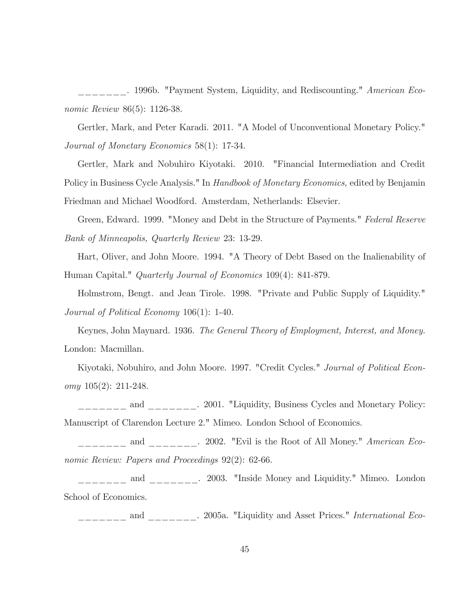. 1996b. "Payment System, Liquidity, and Rediscounting." American Eco*nomic Review* 86(5): 1126-38.

Gertler, Mark, and Peter Karadi. 2011. "A Model of Unconventional Monetary Policy." Journal of Monetary Economics 58(1): 17-34.

Gertler, Mark and Nobuhiro Kiyotaki. 2010. "Financial Intermediation and Credit Policy in Business Cycle Analysis." In *Handbook of Monetary Economics*, edited by Benjamin Friedman and Michael Woodford. Amsterdam, Netherlands: Elsevier.

Green, Edward. 1999. "Money and Debt in the Structure of Payments." Federal Reserve Bank of Minneapolis, Quarterly Review 23: 13-29.

Hart, Oliver, and John Moore. 1994. "A Theory of Debt Based on the Inalienability of Human Capital." *Quarterly Journal of Economics* 109(4): 841-879.

Holmstrom, Bengt. and Jean Tirole. 1998. "Private and Public Supply of Liquidity." Journal of Political Economy  $106(1)$ : 1-40.

Keynes, John Maynard. 1936. The General Theory of Employment, Interest, and Money. London: Macmillan.

Kiyotaki, Nobuhiro, and John Moore. 1997. "Credit Cycles." Journal of Political Economy  $105(2)$ : 211-248.

------ and ------- 2001. "Liquidity, Business Cycles and Monetary Policy: Manuscript of Clarendon Lecture 2." Mimeo. London School of Economics.

and . 2002. "Evil is the Root of All Money." *American Eco*nomic Review: Papers and Proceedings 92(2): 62-66.

 $\frac{1}{1}$  and  $\frac{1}{1}$  and  $\frac{1}{1}$  2003. "Inside Money and Liquidity." Mimeo. London School of Economics.

\_\_\_\_\_\_\_ and \_\_\_\_\_\_\_. 2005a. "Liquidity and Asset Prices." International Eco-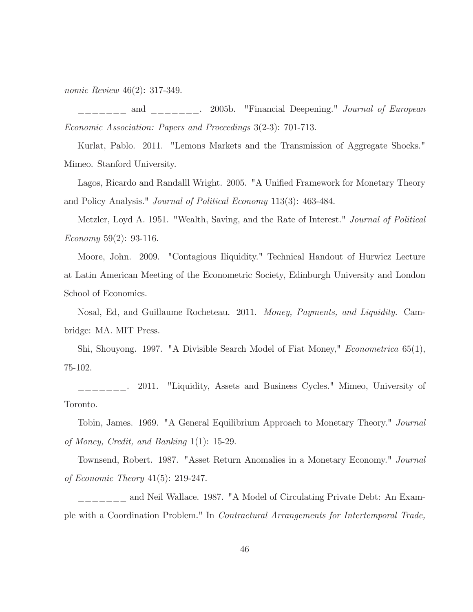*nomic Review*  $46(2)$ : 317-349.

 $\qquad\qquad\text{and}\qquad\qquad\qquad .$ 2005b. "Financial Deepening." Journal of European Economic Association: Papers and Proceedings 3(2-3): 701-713.

Kurlat, Pablo. 2011. "Lemons Markets and the Transmission of Aggregate Shocks." Mimeo. Stanford University.

Lagos, Ricardo and Randalll Wright. 2005. "A Unified Framework for Monetary Theory and Policy Analysis." *Journal of Political Economy* 113(3): 463-484.

Metzler, Loyd A. 1951. "Wealth, Saving, and the Rate of Interest." Journal of Political *Economy* 59(2): 93-116.

"Contagious Iliquidity." Technical Handout of Hurwicz Lecture Moore, John. 2009. at Latin American Meeting of the Econometric Society, Edinburgh University and London School of Economics.

Nosal, Ed, and Guillaume Rocheteau. 2011. Money, Payments, and Liquidity. Cambridge: MA. MIT Press.

Shi, Shouyong. 1997. "A Divisible Search Model of Fiat Money," *Econometrica* 65(1), 75-102.

2011. "Liquidity, Assets and Business Cycles." Mimeo, University of Toronto.

Tobin, James. 1969. "A General Equilibrium Approach to Monetary Theory." Journal of Money, Credit, and Banking  $1(1)$ : 15-29.

Townsend, Robert. 1987. "Asset Return Anomalies in a Monetary Economy." Journal of Economic Theory  $41(5)$ : 219-247.

\_\_\_ and Neil Wallace. 1987. "A Model of Circulating Private Debt: An Example with a Coordination Problem." In Contractural Arrangements for Intertemporal Trade.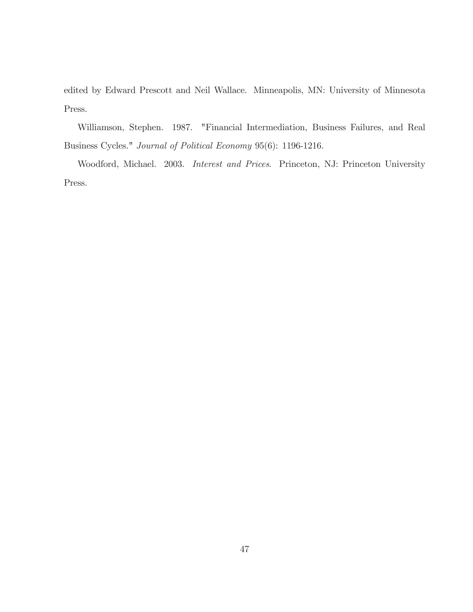edited by Edward Prescott and Neil Wallace. Minneapolis, MN: University of Minnesota Press.

Williamson, Stephen. 1987. "Financial Intermediation, Business Failures, and Real Business Cycles."  $Journal$  of Political Economy 95(6): 1196-1216.

Woodford, Michael. 2003. Interest and Prices. Princeton, NJ: Princeton University Press.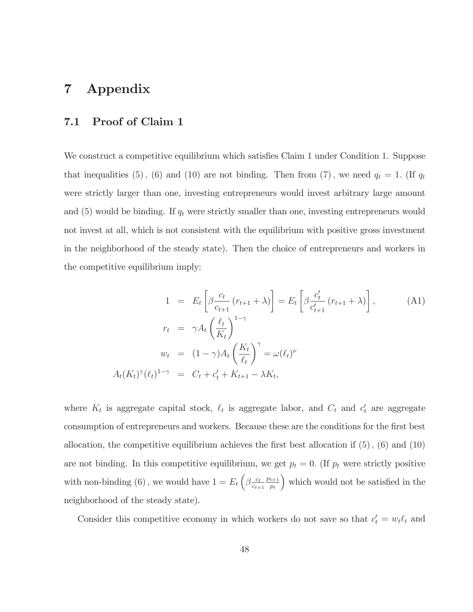### Appendix  $\overline{7}$

#### Proof of Claim 1  $7.1$

We construct a competitive equilibrium which satisfies Claim 1 under Condition 1. Suppose that inequalities (5), (6) and (10) are not binding. Then from (7), we need  $q_t = 1$ . (If  $q_t$ were strictly larger than one, investing entrepreneurs would invest arbitrary large amount and (5) would be binding. If  $q_t$  were strictly smaller than one, investing entrepreneurs would not invest at all, which is not consistent with the equilibrium with positive gross investment in the neighborhood of the steady state). Then the choice of entrepreneurs and workers in the competitive equilibrium imply:

$$
1 = E_t \left[ \beta \frac{c_t}{c_{t+1}} (r_{t+1} + \lambda) \right] = E_t \left[ \beta \frac{c'_t}{c'_{t+1}} (r_{t+1} + \lambda) \right],
$$
\n(A1)  
\n
$$
r_t = \gamma A_t \left( \frac{\ell_t}{K_t} \right)^{1-\gamma}
$$
\n
$$
w_t = (1 - \gamma) A_t \left( \frac{K_t}{\ell_t} \right)^{\gamma} = \omega(\ell_t)^{\nu}
$$
\n
$$
A_t(K_t)^{\gamma} (\ell_t)^{1-\gamma} = C_t + c'_t + K_{t+1} - \lambda K_t,
$$

where  $K_t$  is aggregate capital stock,  $\ell_t$  is aggregate labor, and  $C_t$  and  $c'_t$  are aggregate consumption of entrepreneurs and workers. Because these are the conditions for the first best allocation, the competitive equilibrium achieves the first best allocation if  $(5)$ ,  $(6)$  and  $(10)$ are not binding. In this competitive equilibrium, we get  $p_t = 0$ . (If  $p_t$  were strictly positive with non-binding (6), we would have  $1 = E_t \left( \beta \frac{c_t}{c_{t+1}} \frac{p_{t+1}}{p_t} \right)$  which would not be satisfied in the neighborhood of the steady state).

Consider this competitive economy in which workers do not save so that  $c'_t = w_t \ell_t$  and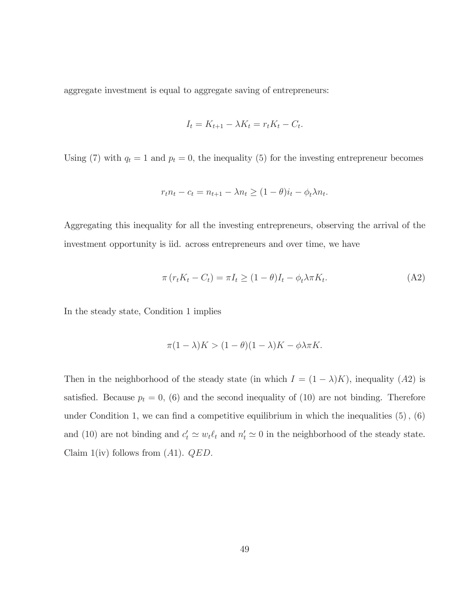aggregate investment is equal to aggregate saving of entrepreneurs:

$$
I_t = K_{t+1} - \lambda K_t = r_t K_t - C_t.
$$

Using (7) with  $q_t = 1$  and  $p_t = 0$ , the inequality (5) for the investing entrepreneur becomes

$$
r_t n_t - c_t = n_{t+1} - \lambda n_t \ge (1 - \theta)i_t - \phi_t \lambda n_t.
$$

Aggregating this inequality for all the investing entrepreneurs, observing the arrival of the investment opportunity is iid. across entrepreneurs and over time, we have

$$
\pi (r_t K_t - C_t) = \pi I_t \ge (1 - \theta) I_t - \phi_t \lambda \pi K_t.
$$
\n(A2)

In the steady state, Condition 1 implies

$$
\pi(1 - \lambda)K > (1 - \theta)(1 - \lambda)K - \phi\lambda\pi K.
$$

Then in the neighborhood of the steady state (in which  $I = (1 - \lambda)K$ ), inequality (A2) is satisfied. Because  $p_t = 0$ , (6) and the second inequality of (10) are not binding. Therefore under Condition 1, we can find a competitive equilibrium in which the inequalities  $(5)$ ,  $(6)$ and (10) are not binding and  $c'_t \simeq w_t \ell_t$  and  $n'_t \simeq 0$  in the neighborhood of the steady state. Claim 1(iv) follows from  $(A1)$ .  $QED$ .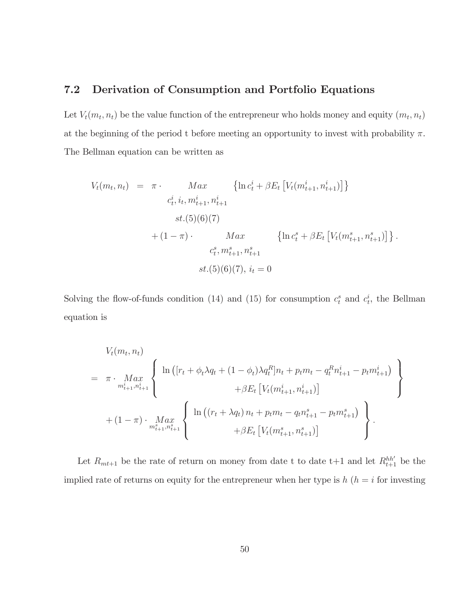#### $7.2$ Derivation of Consumption and Portfolio Equations

Let  $V_t(m_t, n_t)$  be the value function of the entrepreneur who holds money and equity  $(m_t, n_t)$ at the beginning of the period t before meeting an opportunity to invest with probability  $\pi$ . The Bellman equation can be written as

$$
V_t(m_t, n_t) = \pi \cdot Max \{ \ln c_t^i + \beta E_t \left[ V_t(m_{t+1}^i, n_{t+1}^i) \right] \}
$$
  
\n
$$
c_t^i, i_t, m_{t+1}^i, n_{t+1}^i
$$
  
\n
$$
st.(5)(6)(7)
$$
  
\n
$$
+ (1 - \pi) \cdot Max \{ \ln c_t^s + \beta E_t \left[ V_t(m_{t+1}^s, n_{t+1}^s) \right] \}.
$$
  
\n
$$
c_t^s, m_{t+1}^s, n_{t+1}^s
$$
  
\n
$$
st.(5)(6)(7), i_t = 0
$$

Solving the flow-of-funds condition (14) and (15) for consumption  $c_t^s$  and  $c_t^i$ , the Bellman equation is

$$
V_t(m_t, n_t)
$$
\n
$$
= \pi \cdot \underset{m_{t+1}^s, n_{t+1}^s}{Max} \left\{ \begin{array}{l} \ln \left( [r_t + \phi_t \lambda q_t + (1 - \phi_t) \lambda q_t^R] n_t + p_t m_t - q_t^R n_{t+1}^i - p_t m_{t+1}^i \right) \\ + \beta E_t \left[ V_t(m_{t+1}^i, n_{t+1}^i) \right] \\ + (1 - \pi) \cdot \underset{m_{t+1}^s, n_{t+1}^s}{Max} \left\{ \begin{array}{l} \ln \left( (r_t + \lambda q_t) n_t + p_t m_t - q_t n_{t+1}^s - p_t m_{t+1}^s \right) \\ + \beta E_t \left[ V_t(m_{t+1}^s, n_{t+1}^s) \right] \end{array} \right\} .\end{array} \right\}.
$$

Let  $R_{mt+1}$  be the rate of return on money from date t to date t+1 and let  $R_{t+1}^{hh'}$  be the implied rate of returns on equity for the entrepreneur when her type is  $h(h = i$  for investing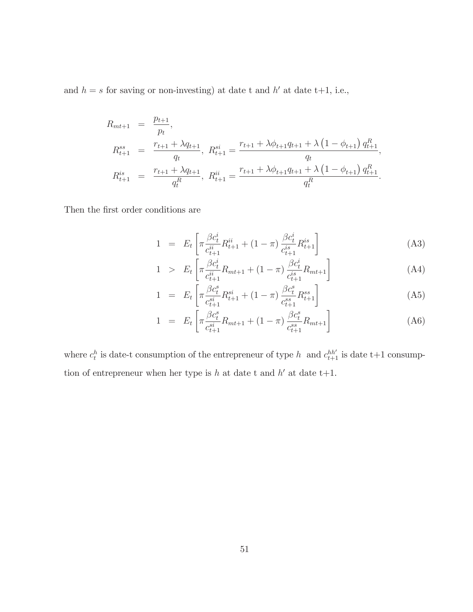and  $h = s$  for saving or non-investing) at date t and h' at date t+1, i.e.,

$$
R_{mt+1} = \frac{p_{t+1}}{p_t},
$$
  
\n
$$
R_{t+1}^{ss} = \frac{r_{t+1} + \lambda q_{t+1}}{q_t}, \ R_{t+1}^{si} = \frac{r_{t+1} + \lambda \phi_{t+1} q_{t+1} + \lambda (1 - \phi_{t+1}) q_{t+1}^R}{q_t},
$$
  
\n
$$
R_{t+1}^{is} = \frac{r_{t+1} + \lambda q_{t+1}}{q_t^R}, \ R_{t+1}^{ii} = \frac{r_{t+1} + \lambda \phi_{t+1} q_{t+1} + \lambda (1 - \phi_{t+1}) q_{t+1}^R}{q_t^R}.
$$

Then the first order conditions are

$$
1 = E_t \left[ \pi \frac{\beta c_t^i}{c_{t+1}^{ii}} R_{t+1}^{ii} + (1 - \pi) \frac{\beta c_t^i}{c_{t+1}^{is}} R_{t+1}^{is} \right]
$$
(A3)

$$
1 > E_t \left[ \pi \frac{\beta c_t^i}{c_{t+1}^{ii}} R_{mt+1} + (1 - \pi) \frac{\beta c_t^i}{c_{t+1}^{is}} R_{mt+1} \right]
$$
 (A4)

$$
1 = E_t \left[ \pi \frac{\beta c_t^s}{c_{t+1}^{si}} R_{t+1}^{si} + (1 - \pi) \frac{\beta c_t^s}{c_{t+1}^{ss}} R_{t+1}^{ss} \right]
$$
(A5)

$$
1 = E_t \left[ \pi \frac{\beta c_t^s}{c_{t+1}^{si}} R_{mt+1} + (1 - \pi) \frac{\beta c_t^s}{c_{t+1}^{ss}} R_{mt+1} \right]
$$
(A6)

where  $c_t^h$  is date-t consumption of the entrepreneur of type  $h\;$  and  $c_{t+1}^{hh'}$  is date t+1 consumption of entrepreneur when her type is  $h$  at date t and  $h'$  at date t+1.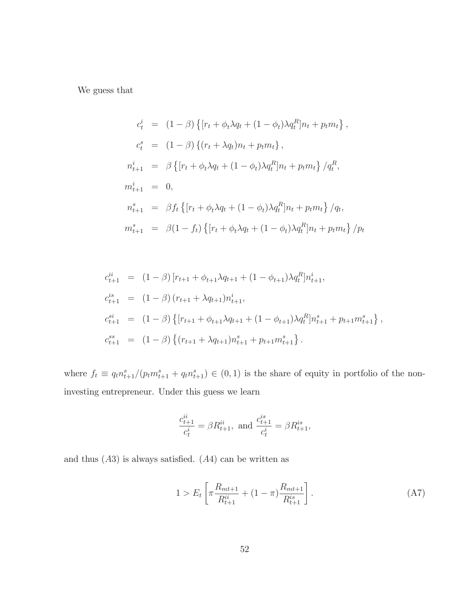We guess that

$$
c_t^i = (1 - \beta) \{ [r_t + \phi_t \lambda q_t + (1 - \phi_t) \lambda q_t^R] n_t + p_t m_t \},
$$
  
\n
$$
c_t^s = (1 - \beta) \{ (r_t + \lambda q_t) n_t + p_t m_t \},
$$
  
\n
$$
n_{t+1}^i = \beta \{ [r_t + \phi_t \lambda q_t + (1 - \phi_t) \lambda q_t^R] n_t + p_t m_t \} / q_t^R,
$$
  
\n
$$
m_{t+1}^i = 0,
$$
  
\n
$$
n_{t+1}^s = \beta f_t \{ [r_t + \phi_t \lambda q_t + (1 - \phi_t) \lambda q_t^R] n_t + p_t m_t \} / q_t,
$$
  
\n
$$
m_{t+1}^s = \beta (1 - f_t) \{ [r_t + \phi_t \lambda q_t + (1 - \phi_t) \lambda q_t^R] n_t + p_t m_t \} / p_t
$$

$$
c_{t+1}^{ii} = (1 - \beta) [r_{t+1} + \phi_{t+1}\lambda q_{t+1} + (1 - \phi_{t+1})\lambda q_t^R] n_{t+1}^i,
$$
  
\n
$$
c_{t+1}^{is} = (1 - \beta) (r_{t+1} + \lambda q_{t+1}) n_{t+1}^i,
$$
  
\n
$$
c_{t+1}^{si} = (1 - \beta) \{ [r_{t+1} + \phi_{t+1}\lambda q_{t+1} + (1 - \phi_{t+1})\lambda q_t^R] n_{t+1}^s + p_{t+1} m_{t+1}^s \},
$$
  
\n
$$
c_{t+1}^{ss} = (1 - \beta) \{ (r_{t+1} + \lambda q_{t+1}) n_{t+1}^s + p_{t+1} m_{t+1}^s \}.
$$

where  $f_t \equiv q_t n_{t+1}^s/(p_t m_{t+1}^s + q_t n_{t+1}^s) \in (0,1)$  is the share of equity in portfolio of the noninvesting entrepreneur. Under this guess we learn

$$
\frac{c_{t+1}^{ii}}{c_t^i} = \beta R_{t+1}^{ii}, \text{ and } \frac{c_{t+1}^{is}}{c_t^i} = \beta R_{t+1}^{is},
$$

and thus  $(A3)$  is always satisfied.  $(A4)$  can be written as

$$
1 > E_t \left[ \pi \frac{R_{mt+1}}{R_{t+1}^{ii}} + (1 - \pi) \frac{R_{mt+1}}{R_{t+1}^{is}} \right].
$$
 (A7)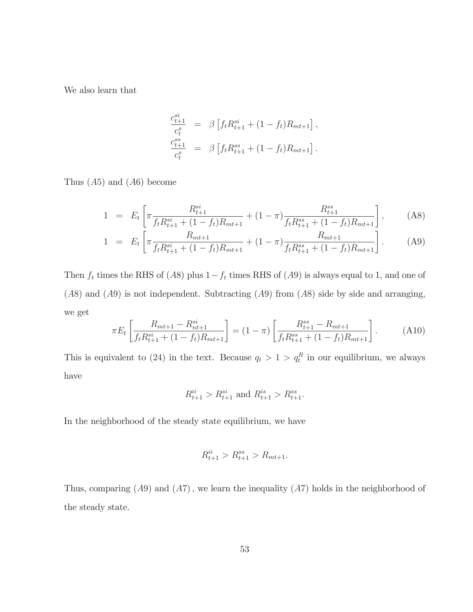We also learn that

$$
\frac{c_{t+1}^{s*}}{c_t^s} = \beta \left[ f_t R_{t+1}^{si} + (1 - f_t) R_{mt+1} \right],
$$
  

$$
\frac{c_{t+1}^{ss}}{c_t^s} = \beta \left[ f_t R_{t+1}^{ss} + (1 - f_t) R_{mt+1} \right].
$$

Thus  $(A5)$  and  $(A6)$  become

$$
1 = E_t \left[ \pi \frac{R_{t+1}^{si}}{f_t R_{t+1}^{si} + (1 - f_t) R_{mt+1}} + (1 - \pi) \frac{R_{t+1}^{ss}}{f_t R_{t+1}^{ss} + (1 - f_t) R_{mt+1}} \right], \quad (A8)
$$

$$
1 = E_t \left[ \pi \frac{R_{mt+1}}{f_t R_{t+1}^{si} + (1 - f_t) R_{mt+1}} + (1 - \pi) \frac{R_{mt+1}}{f_t R_{t+1}^{ss} + (1 - f_t) R_{mt+1}} \right].
$$
 (A9)

Then  $f_t$  times the RHS of (A8) plus  $1 - f_t$  times RHS of (A9) is always equal to 1, and one of  $(A8)$  and  $(A9)$  is not independent. Subtracting  $(A9)$  from  $(A8)$  side by side and arranging, we get

$$
\pi E_t \left[ \frac{R_{mt+1} - R_{nt+1}^{si}}{f_t R_{t+1}^{si} + (1 - f_t) R_{mt+1}} \right] = (1 - \pi) \left[ \frac{R_{t+1}^{ss} - R_{mt+1}}{f_t R_{t+1}^{ss} + (1 - f_t) R_{mt+1}} \right].
$$
 (A10)

This is equivalent to (24) in the text. Because  $q_t > 1 > q_t^R$  in our equilibrium, we always have

$$
R_{t+1}^{ii} > R_{t+1}^{si}
$$
 and  $R_{t+1}^{is} > R_{t+1}^{ss}$ .

In the neighborhood of the steady state equilibrium, we have

$$
R_{t+1}^{ii} > R_{t+1}^{ss} > R_{mt+1}.
$$

Thus, comparing  $(A9)$  and  $(A7)$ , we learn the inequality  $(A7)$  holds in the neighborhood of the steady state.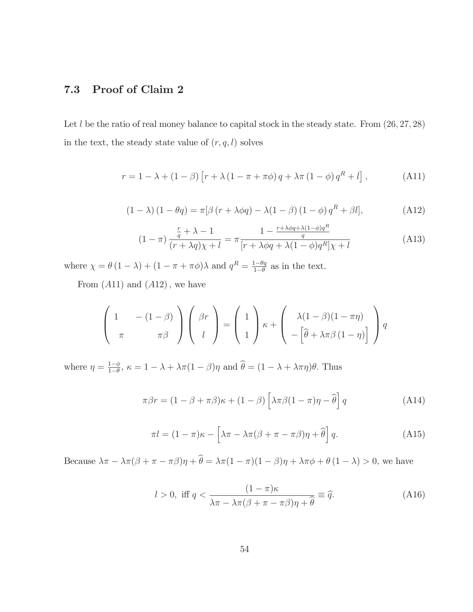#### 7.3 Proof of Claim 2

Let  $l$  be the ratio of real money balance to capital stock in the steady state. From  $(26, 27, 28)$ in the text, the steady state value of  $(r, q, l)$  solves

$$
r = 1 - \lambda + (1 - \beta) \left[ r + \lambda (1 - \pi + \pi \phi) q + \lambda \pi (1 - \phi) q^{R} + l \right],
$$
 (A11)

$$
(1 - \lambda) (1 - \theta q) = \pi [\beta (r + \lambda \phi q) - \lambda (1 - \beta) (1 - \phi) q^{R} + \beta l], \qquad (A12)
$$

$$
(1 - \pi) \frac{\frac{r}{q} + \lambda - 1}{(r + \lambda q)\chi + l} = \pi \frac{1 - \frac{r + \lambda \phi q + \lambda (1 - \phi)q^R}{q}}{[r + \lambda \phi q + \lambda (1 - \phi)q^R]\chi + l}
$$
(A13)

where  $\chi = \theta (1 - \lambda) + (1 - \pi + \pi \phi) \lambda$  and  $q^R = \frac{1 - \theta q}{1 - \theta}$  as in the text.

From  $(A11)$  and  $(A12)$ , we have

$$
\begin{pmatrix} 1 & -\left(1-\beta\right) \\ \pi & \pi\beta \end{pmatrix} \begin{pmatrix} \beta r \\ l \end{pmatrix} = \begin{pmatrix} 1 \\ 1 \end{pmatrix} \kappa + \begin{pmatrix} \lambda(1-\beta)(1-\pi\eta) \\ -\left[\widehat{\theta} + \lambda\pi\beta(1-\eta)\right] \end{pmatrix} q
$$

where  $\eta = \frac{1-\phi}{1-\theta}$ ,  $\kappa = 1 - \lambda + \lambda \pi (1-\beta)\eta$  and  $\hat{\theta} = (1 - \lambda + \lambda \pi \eta)\theta$ . Thus

$$
\pi \beta r = (1 - \beta + \pi \beta)\kappa + (1 - \beta) \left[ \lambda \pi \beta (1 - \pi) \eta - \widehat{\theta} \right] q \tag{A14}
$$

$$
\pi l = (1 - \pi)\kappa - \left[\lambda \pi - \lambda \pi (\beta + \pi - \pi \beta)\eta + \hat{\theta}\right] q.
$$
 (A15)

Because  $\lambda \pi - \lambda \pi (\beta + \pi - \pi \beta) \eta + \hat{\theta} = \lambda \pi (1 - \pi)(1 - \beta) \eta + \lambda \pi \phi + \theta (1 - \lambda) > 0$ , we have

$$
l > 0, \text{ iff } q < \frac{(1 - \pi)\kappa}{\lambda \pi - \lambda \pi (\beta + \pi - \pi \beta)\eta + \hat{\theta}} \equiv \hat{q}. \tag{A16}
$$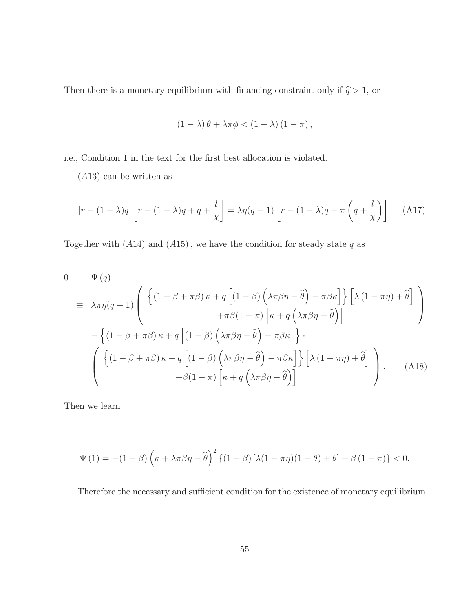Then there is a monetary equilibrium with financing constraint only if  $\widehat{q}>1,$  or

$$
(1 - \lambda)\theta + \lambda\pi\phi < (1 - \lambda)(1 - \pi),
$$

i.e., Condition 1 in the text for the first best allocation is violated.

 $(A13)$  can be written as

$$
\left[r - (1 - \lambda)q\right]\left[r - (1 - \lambda)q + q + \frac{l}{\chi}\right] = \lambda \eta(q - 1)\left[r - (1 - \lambda)q + \pi\left(q + \frac{l}{\chi}\right)\right] \tag{A17}
$$

Together with  $(A14)$  and  $(A15)$ , we have the condition for steady state q as

$$
0 = \Psi(q)
$$
  
\n
$$
\equiv \lambda \pi \eta(q-1) \left( \left\{ (1-\beta+\pi\beta)\kappa + q \left[ (1-\beta) \left( \lambda \pi \beta \eta - \widehat{\theta} \right) - \pi \beta \kappa \right] \right\} \left[ \lambda (1-\pi \eta) + \widehat{\theta} \right] \right)
$$
  
\n
$$
- \left\{ (1-\beta+\pi\beta)\kappa + q \left[ (1-\beta) \left( \lambda \pi \beta \eta - \widehat{\theta} \right) - \pi \beta \kappa \right] \right\} \right.
$$
  
\n
$$
\left( \left\{ (1-\beta+\pi\beta)\kappa + q \left[ (1-\beta) \left( \lambda \pi \beta \eta - \widehat{\theta} \right) - \pi \beta \kappa \right] \right\} \left[ \lambda (1-\pi \eta) + \widehat{\theta} \right] \right)
$$
  
\n
$$
+ \beta (1-\pi) \left[ \kappa + q \left( \lambda \pi \beta \eta - \widehat{\theta} \right) \right]
$$
  
\n
$$
(A18)
$$

Then we learn

$$
\Psi(1) = -(1 - \beta) \left(\kappa + \lambda \pi \beta \eta - \widehat{\theta}\right)^2 \left\{ (1 - \beta) \left[\lambda (1 - \pi \eta)(1 - \theta) + \theta\right] + \beta (1 - \pi) \right\} < 0.
$$

Therefore the necessary and sufficient condition for the existence of monetary equilibrium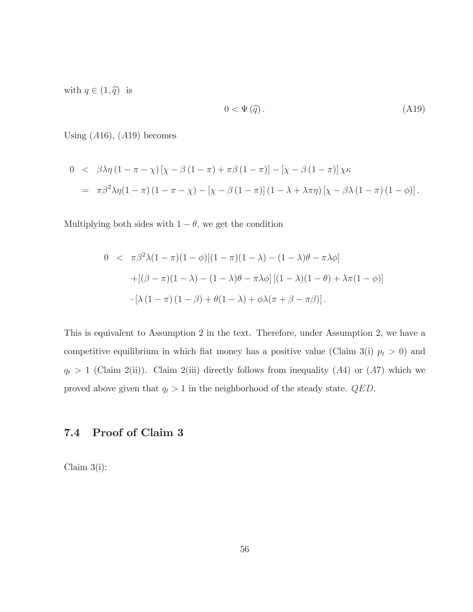with  $q \in (1, \hat{q})$  is

$$
0 < \Psi(\hat{q})\tag{A19}
$$

Using  $(A16)$ ,  $(A19)$  becomes

$$
0 < \beta \lambda \eta (1 - \pi - \chi) [\chi - \beta (1 - \pi) + \pi \beta (1 - \pi)] - [\chi - \beta (1 - \pi)] \chi \kappa
$$
  
=  $\pi \beta^2 \lambda \eta (1 - \pi) (1 - \pi - \chi) - [\chi - \beta (1 - \pi)] (1 - \lambda + \lambda \pi \eta) [\chi - \beta \lambda (1 - \pi) (1 - \phi)].$ 

Multiplying both sides with  $1 - \theta$ , we get the condition

$$
0 < \pi \beta^2 \lambda (1 - \pi)(1 - \phi)[(1 - \pi)(1 - \lambda) - (1 - \lambda)\theta - \pi \lambda \phi]
$$
  
+
$$
[(\beta - \pi)(1 - \lambda) - (1 - \lambda)\theta - \pi \lambda \phi][(1 - \lambda)(1 - \theta) + \lambda \pi (1 - \phi)]
$$
  

$$
\cdot [\lambda (1 - \pi)(1 - \beta) + \theta(1 - \lambda) + \phi \lambda (\pi + \beta - \pi \beta)].
$$

This is equivalent to Assumption 2 in the text. Therefore, under Assumption 2, we have a competitive equilibrium in which fiat money has a positive value (Claim 3(i)  $p_t > 0$ ) and  $q_t > 1$  (Claim 2(ii)). Claim 2(iii) directly follows from inequality (A4) or (A7) which we proved above given that  $q_t > 1$  in the neighborhood of the steady state. *QED*.

#### Proof of Claim 3 7.4

Claim  $3(i)$ :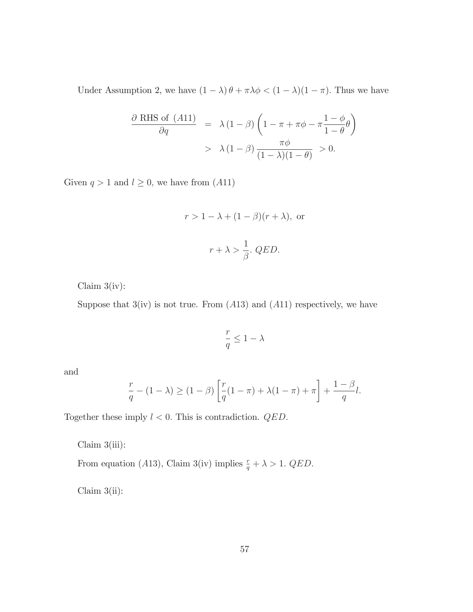Under Assumption 2, we have  $(1 - \lambda)\theta + \pi\lambda\phi < (1 - \lambda)(1 - \pi)$ . Thus we have

$$
\frac{\partial \text{ RHS of } (A11)}{\partial q} = \lambda (1 - \beta) \left( 1 - \pi + \pi \phi - \pi \frac{1 - \phi}{1 - \theta} \theta \right)
$$

$$
> \lambda (1 - \beta) \frac{\pi \phi}{(1 - \lambda)(1 - \theta)} > 0.
$$

Given  $q > 1$  and  $l \geq 0$ , we have from  $(A11)$ 

$$
r > 1 - \lambda + (1 - \beta)(r + \lambda)
$$
, or  
 $r + \lambda > \frac{1}{\beta}$ . QED.

Claim  $3(iv)$ :

Suppose that  $3(iv)$  is not true. From  $(A13)$  and  $(A11)$  respectively, we have

$$
\frac{r}{q} \le 1 - \lambda
$$

and

$$
\frac{r}{q} - (1 - \lambda) \ge (1 - \beta) \left[ \frac{r}{q} (1 - \pi) + \lambda (1 - \pi) + \pi \right] + \frac{1 - \beta}{q} l.
$$

Together these imply  $l < 0$ . This is contradiction.  $QED$ .

Claim  $3(iii)$ :

From equation (A13), Claim 3(iv) implies  $\frac{r}{q} + \lambda > 1$ . QED.

Claim  $3(ii)$ :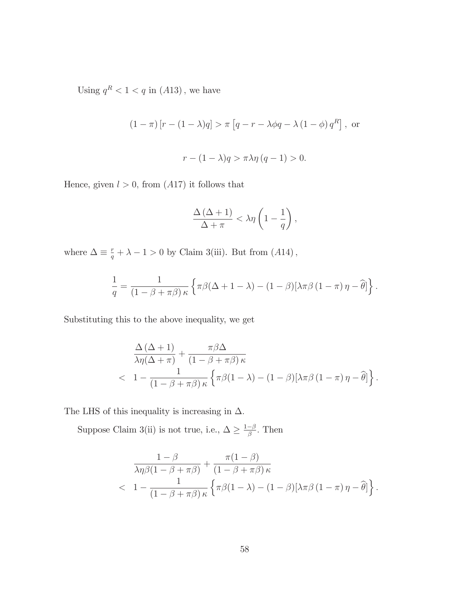Using  $q^R < 1 < q$  in  $(A13)$ , we have

$$
(1 - \pi) [r - (1 - \lambda)q] > \pi [q - r - \lambda \phi q - \lambda (1 - \phi) q^{R}],
$$
 or  

$$
r - (1 - \lambda)q > \pi \lambda \eta (q - 1) > 0.
$$

Hence, given  $l > 0$ , from  $(A17)$  it follows that

$$
\frac{\Delta(\Delta+1)}{\Delta+\pi}<\lambda\eta\left(1-\frac{1}{q}\right),\,
$$

where  $\Delta\equiv\frac{r}{q}+\lambda-1>0$  by Claim 3(iii). But from (A14),

$$
\frac{1}{q} = \frac{1}{(1 - \beta + \pi \beta) \kappa} \left\{ \pi \beta (\Delta + 1 - \lambda) - (1 - \beta) [\lambda \pi \beta (1 - \pi) \eta - \widehat{\theta}] \right\}.
$$

Substituting this to the above inequality, we get

$$
\frac{\Delta (\Delta + 1)}{\lambda \eta (\Delta + \pi)} + \frac{\pi \beta \Delta}{(1 - \beta + \pi \beta) \kappa} \n< 1 - \frac{1}{(1 - \beta + \pi \beta) \kappa} \left\{ \pi \beta (1 - \lambda) - (1 - \beta) [\lambda \pi \beta (1 - \pi) \eta - \hat{\theta}] \right\}.
$$

The LHS of this inequality is increasing in  $\Delta.$ 

Suppose Claim 3(ii) is not true, i.e.,  $\Delta \geq \frac{1-\beta}{\beta}.$  Then

$$
\frac{1-\beta}{\lambda \eta \beta (1-\beta+\pi\beta)} + \frac{\pi(1-\beta)}{(1-\beta+\pi\beta)\kappa} \n
$$
\left\{\frac1{\pi \beta (1-\beta+\pi\beta)\kappa} \left\{\pi \beta (1-\lambda) - (1-\beta)[\lambda \pi \beta (1-\pi)\eta - \widehat{\theta}]\right\}.\right.
$$
$$